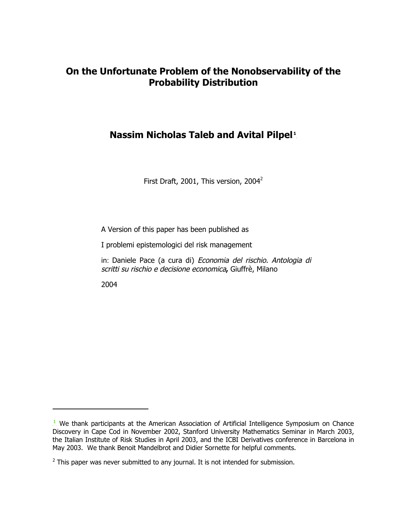# **On the Unfortunate Problem of the Nonobservability of the Probability Distribution**

# **Nassim Nicholas Taleb and Avital Pilpel**<sup>1</sup>

First Draft, 2001, This version, 2004<sup>2</sup>

A Version of this paper has been published as

I problemi epistemologici del risk management

in: Daniele Pace (a cura di) Economia del rischio. Antologia di scritti su rischio e decisione economica**,** Giuffrè, Milano

2004

j

 $<sup>1</sup>$  We thank participants at the American Association of Artificial Intelligence Symposium on Chance</sup> Discovery in Cape Cod in November 2002, Stanford University Mathematics Seminar in March 2003, the Italian Institute of Risk Studies in April 2003, and the ICBI Derivatives conference in Barcelona in May 2003. We thank Benoit Mandelbrot and Didier Sornette for helpful comments.

 $2$  This paper was never submitted to any journal. It is not intended for submission.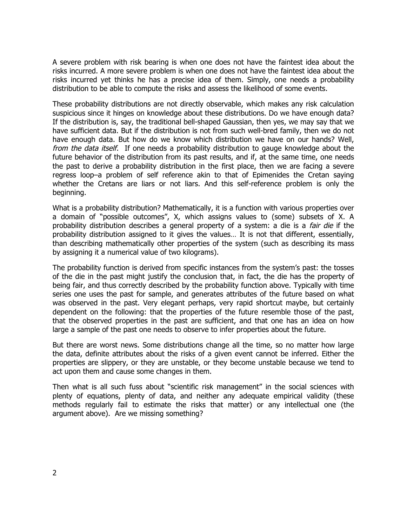A severe problem with risk bearing is when one does not have the faintest idea about the risks incurred. A more severe problem is when one does not have the faintest idea about the risks incurred yet thinks he has a precise idea of them. Simply, one needs a probability distribution to be able to compute the risks and assess the likelihood of some events.

These probability distributions are not directly observable, which makes any risk calculation suspicious since it hinges on knowledge about these distributions. Do we have enough data? If the distribution is, say, the traditional bell-shaped Gaussian, then yes, we may say that we have sufficient data. But if the distribution is not from such well-bred family, then we do not have enough data. But how do we know which distribution we have on our hands? Well, from the data itself. If one needs a probability distribution to gauge knowledge about the future behavior of the distribution from its past results, and if, at the same time, one needs the past to derive a probability distribution in the first place, then we are facing a severe regress loop–a problem of self reference akin to that of Epimenides the Cretan saying whether the Cretans are liars or not liars. And this self-reference problem is only the beginning.

What is a probability distribution? Mathematically, it is a function with various properties over a domain of "possible outcomes", X, which assigns values to (some) subsets of X. A probability distribution describes a general property of a system: a die is a *fair die* if the probability distribution assigned to it gives the values… It is not that different, essentially, than describing mathematically other properties of the system (such as describing its mass by assigning it a numerical value of two kilograms).

The probability function is derived from specific instances from the system's past: the tosses of the die in the past might justify the conclusion that, in fact, the die has the property of being fair, and thus correctly described by the probability function above. Typically with time series one uses the past for sample, and generates attributes of the future based on what was observed in the past. Very elegant perhaps, very rapid shortcut maybe, but certainly dependent on the following: that the properties of the future resemble those of the past, that the observed properties in the past are sufficient, and that one has an idea on how large a sample of the past one needs to observe to infer properties about the future.

But there are worst news. Some distributions change all the time, so no matter how large the data, definite attributes about the risks of a given event cannot be inferred. Either the properties are slippery, or they are unstable, or they become unstable because we tend to act upon them and cause some changes in them.

Then what is all such fuss about "scientific risk management" in the social sciences with plenty of equations, plenty of data, and neither any adequate empirical validity (these methods regularly fail to estimate the risks that matter) or any intellectual one (the argument above). Are we missing something?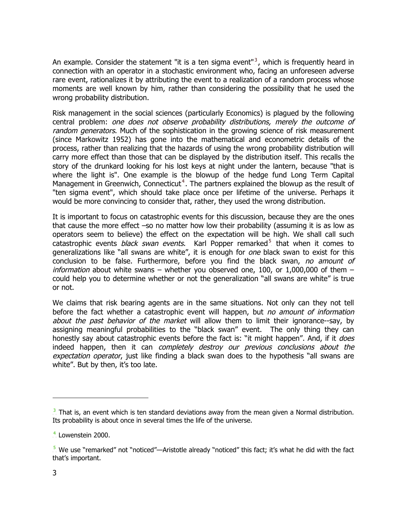An example. Consider the statement "it is a ten sigma event".<sup>3</sup>, which is frequently heard in connection with an operator in a stochastic environment who, facing an unforeseen adverse rare event, rationalizes it by attributing the event to a realization of a random process whose moments are well known by him, rather than considering the possibility that he used the wrong probability distribution.

Risk management in the social sciences (particularly Economics) is plagued by the following central problem: one does not observe probability distributions, merely the outcome of random generators. Much of the sophistication in the growing science of risk measurement (since Markowitz 1952) has gone into the mathematical and econometric details of the process, rather than realizing that the hazards of using the wrong probability distribution will carry more effect than those that can be displayed by the distribution itself. This recalls the story of the drunkard looking for his lost keys at night under the lantern, because "that is where the light is". One example is the blowup of the hedge fund Long Term Capital Management in Greenwich, Connecticut<sup>4</sup>. The partners explained the blowup as the result of "ten sigma event", which should take place once per lifetime of the universe. Perhaps it would be more convincing to consider that, rather, they used the wrong distribution.

It is important to focus on catastrophic events for this discussion, because they are the ones that cause the more effect –so no matter how low their probability (assuming it is as low as operators seem to believe) the effect on the expectation will be high. We shall call such catastrophic events *black swan events*. Karl Popper remarked<sup>5</sup> that when it comes to generalizations like "all swans are white", it is enough for one black swan to exist for this conclusion to be false. Furthermore, before you find the black swan, no amount of *information* about white swans – whether you observed one, 100, or 1,000,000 of them – could help you to determine whether or not the generalization "all swans are white" is true or not.

We claims that risk bearing agents are in the same situations. Not only can they not tell before the fact whether a catastrophic event will happen, but no amount of information about the past behavior of the market will allow them to limit their ignorance--say, by assigning meaningful probabilities to the "black swan" event. The only thing they can honestly say about catastrophic events before the fact is: "it might happen". And, if it *does* indeed happen, then it can completely destroy our previous conclusions about the expectation operator, just like finding a black swan does to the hypothesis "all swans are white". But by then, it's too late.

 $\overline{a}$ 

 $3\overline{)}$ . That is, an event which is ten standard deviations away from the mean given a Normal distribution. Its probability is about once in several times the life of the universe.

 $<sup>4</sup>$  Lowenstein 2000.</sup>

 $5\overline{5}$  We use "remarked" not "noticed"—Aristotle already "noticed" this fact; it's what he did with the fact that's important.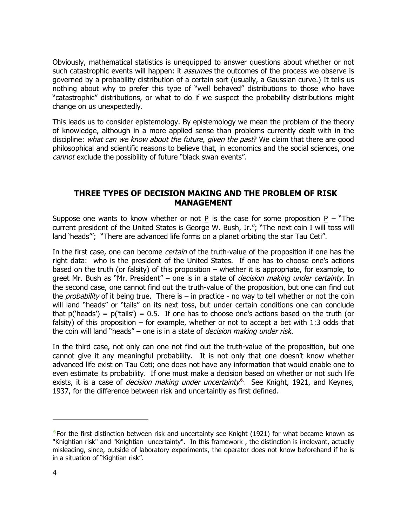Obviously, mathematical statistics is unequipped to answer questions about whether or not such catastrophic events will happen: it *assumes* the outcomes of the process we observe is governed by a probability distribution of a certain sort (usually, a Gaussian curve.) It tells us nothing about why to prefer this type of "well behaved" distributions to those who have "catastrophic" distributions, or what to do if we suspect the probability distributions might change on us unexpectedly.

This leads us to consider epistemology. By epistemology we mean the problem of the theory of knowledge, although in a more applied sense than problems currently dealt with in the discipline: what can we know about the future, given the past? We claim that there are good philosophical and scientific reasons to believe that, in economics and the social sciences, one cannot exclude the possibility of future "black swan events".

# **THREE TYPES OF DECISION MAKING AND THE PROBLEM OF RISK MANAGEMENT**

Suppose one wants to know whether or not P is the case for some proposition P – "The current president of the United States is George W. Bush, Jr."; "The next coin I will toss will land 'heads'"; "There are advanced life forms on a planet orbiting the star Tau Ceti".

In the first case, one can become certain of the truth-value of the proposition if one has the right data: who is the president of the United States. If one has to choose one's actions based on the truth (or falsity) of this proposition – whether it is appropriate, for example, to greet Mr. Bush as "Mr. President" – one is in a state of *decision making under certainty*. In the second case, one cannot find out the truth-value of the proposition, but one can find out the *probability* of it being true. There is – in practice - no way to tell whether or not the coin will land "heads" or "tails" on its next toss, but under certain conditions one can conclude that  $p('heads') = p('tails') = 0.5$ . If one has to choose one's actions based on the truth (or falsity) of this proposition – for example, whether or not to accept a bet with 1:3 odds that the coin will land "heads" – one is in a state of *decision making under risk*.

In the third case, not only can one not find out the truth-value of the proposition, but one cannot give it any meaningful probability. It is not only that one doesn't know whether advanced life exist on Tau Ceti; one does not have any information that would enable one to even estimate its probability. If one must make a decision based on whether or not such life exists, it is a case of *decision making under uncertainty*.<sup>6</sup> See Knight, 1921, and Keynes, 1937, for the difference between risk and uncertaintly as first defined.

j

 $6$  For the first distinction between risk and uncertainty see Knight (1921) for what became known as "Knightian risk" and "Knightian uncertainty". In this framework , the distinction is irrelevant, actually misleading, since, outside of laboratory experiments, the operator does not know beforehand if he is in a situation of "Kightian risk".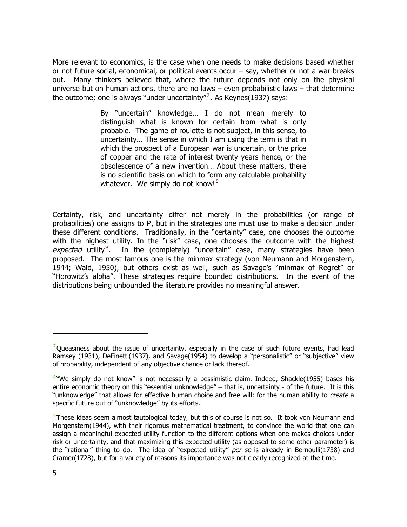More relevant to economics, is the case when one needs to make decisions based whether or not future social, economical, or political events occur – say, whether or not a war breaks out. Many thinkers believed that, where the future depends not only on the physical universe but on human actions, there are no laws – even probabilistic laws – that determine the outcome; one is always "under uncertainty". As Keynes(1937) says:

> By "uncertain" knowledge… I do not mean merely to distinguish what is known for certain from what is only probable. The game of roulette is not subject, in this sense, to uncertainty… The sense in which I am using the term is that in which the prospect of a European war is uncertain, or the price of copper and the rate of interest twenty years hence, or the obsolescence of a new invention… About these matters, there is no scientific basis on which to form any calculable probability whatever. We simply do not know!.<sup>8</sup>

Certainty, risk, and uncertainty differ not merely in the probabilities (or range of probabilities) one assigns to P, but in the strategies one must use to make a decision under these different conditions. Traditionally, in the "certainty" case, one chooses the outcome with the highest utility. In the "risk" case, one chooses the outcome with the highest expected utility.<sup>9</sup> In the (completely) "uncertain" case, many strategies have been proposed. The most famous one is the minmax strategy (von Neumann and Morgenstern, 1944; Wald, 1950), but others exist as well, such as Savage's "minmax of Regret" or "Horowitz's alpha". These strategies require bounded distributions. In the event of the distributions being unbounded the literature provides no meaningful answer.

j

 $\frac{7}{2}$ Queasiness about the issue of uncertainty, especially in the case of such future events, had lead Ramsey (1931), DeFinetti(1937), and Savage(1954) to develop a "personalistic" or "subjective" view of probability, independent of any objective chance or lack thereof.

 $8$ "We simply do not know" is not necessarily a pessimistic claim. Indeed, Shackle(1955) bases his entire economic theory on this "essential unknowledge" – that is, uncertainty - of the future. It is this "unknowledge" that allows for effective human choice and free will: for the human ability to create a specific future out of "unknowledge" by its efforts.

 $\frac{9}{2}$ These ideas seem almost tautological today, but this of course is not so. It took von Neumann and Morgenstern(1944), with their rigorous mathematical treatment, to convince the world that one can assign a meaningful expected-utility function to the different options when one makes choices under risk or uncertainty, and that maximizing this expected utility (as opposed to some other parameter) is the "rational" thing to do. The idea of "expected utility" per se is already in Bernoulli(1738) and Cramer(1728), but for a variety of reasons its importance was not clearly recognized at the time.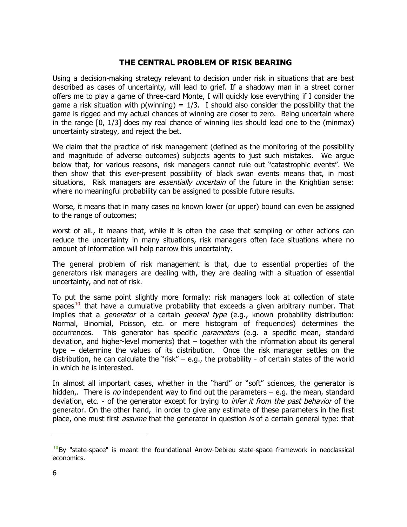# **THE CENTRAL PROBLEM OF RISK BEARING**

Using a decision-making strategy relevant to decision under risk in situations that are best described as cases of uncertainty, will lead to grief. If a shadowy man in a street corner offers me to play a game of three-card Monte, I will quickly lose everything if I consider the game a risk situation with  $p(winning) = 1/3$ . I should also consider the possibility that the game is rigged and my actual chances of winning are closer to zero. Being uncertain where in the range [0, 1/3] does my real chance of winning lies should lead one to the (minmax) uncertainty strategy, and reject the bet.

We claim that the practice of risk management (defined as the monitoring of the possibility and magnitude of adverse outcomes) subjects agents to just such mistakes. We argue below that, for various reasons, risk managers cannot rule out "catastrophic events". We then show that this ever-present possibility of black swan events means that, in most situations, Risk managers are *essentially uncertain* of the future in the Knightian sense: where no meaningful probability can be assigned to possible future results.

Worse, it means that in many cases no known lower (or upper) bound can even be assigned to the range of outcomes;

worst of all., it means that, while it is often the case that sampling or other actions can reduce the uncertainty in many situations, risk managers often face situations where no amount of information will help narrow this uncertainty.

The general problem of risk management is that, due to essential properties of the generators risk managers are dealing with, they are dealing with a situation of essential uncertainty, and not of risk.

To put the same point slightly more formally: risk managers look at collection of state spaces.<sup>10</sup> that have a cumulative probability that exceeds a given arbitrary number. That implies that a *generator* of a certain *general type* (e.g., known probability distribution: Normal, Binomial, Poisson, etc. or mere histogram of frequencies) determines the occurrences. This generator has specific parameters (e.g. a specific mean, standard deviation, and higher-level moments) that – together with the information about its general type – determine the values of its distribution. Once the risk manager settles on the distribution, he can calculate the "risk" – e.g., the probability - of certain states of the world in which he is interested.

In almost all important cases, whether in the "hard" or "soft" sciences, the generator is hidden,. There is no independent way to find out the parameters  $-$  e.g. the mean, standard deviation, etc. - of the generator except for trying to *infer it from the past behavior* of the generator. On the other hand, in order to give any estimate of these parameters in the first place, one must first *assume* that the generator in question is of a certain general type: that

 $\overline{a}$ 

 $10$ By "state-space" is meant the foundational Arrow-Debreu state-space framework in neoclassical economics.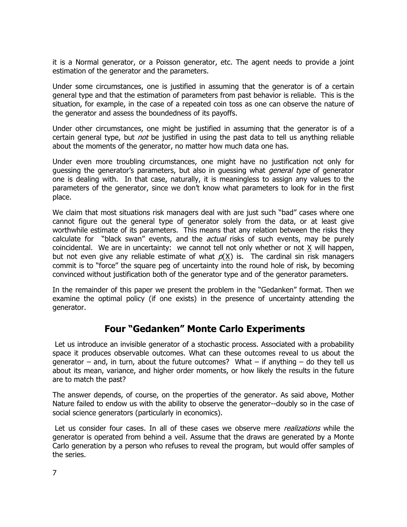it is a Normal generator, or a Poisson generator, etc. The agent needs to provide a joint estimation of the generator and the parameters.

Under some circumstances, one is justified in assuming that the generator is of a certain general type and that the estimation of parameters from past behavior is reliable. This is the situation, for example, in the case of a repeated coin toss as one can observe the nature of the generator and assess the boundedness of its payoffs.

Under other circumstances, one might be justified in assuming that the generator is of a certain general type, but not be justified in using the past data to tell us anything reliable about the moments of the generator, no matter how much data one has.

Under even more troubling circumstances, one might have no justification not only for guessing the generator's parameters, but also in guessing what *general type* of generator one is dealing with. In that case, naturally, it is meaningless to assign any values to the parameters of the generator, since we don't know what parameters to look for in the first place.

We claim that most situations risk managers deal with are just such "bad" cases where one cannot figure out the general type of generator solely from the data, or at least give worthwhile estimate of its parameters. This means that any relation between the risks they calculate for "black swan" events, and the *actual* risks of such events, may be purely coincidental. We are in uncertainty: we cannot tell not only whether or not  $X$  will happen, but not even give any reliable estimate of what  $p(\chi)$  is. The cardinal sin risk managers commit is to "force" the square peg of uncertainty into the round hole of risk, by becoming convinced without justification both of the generator type and of the generator parameters.

In the remainder of this paper we present the problem in the "Gedanken" format. Then we examine the optimal policy (if one exists) in the presence of uncertainty attending the generator.

# **Four "Gedanken" Monte Carlo Experiments**

Let us introduce an invisible generator of a stochastic process. Associated with a probability space it produces observable outcomes. What can these outcomes reveal to us about the generator – and, in turn, about the future outcomes? What – if anything – do they tell us about its mean, variance, and higher order moments, or how likely the results in the future are to match the past?

The answer depends, of course, on the properties of the generator. As said above, Mother Nature failed to endow us with the ability to observe the generator--doubly so in the case of social science generators (particularly in economics).

Let us consider four cases. In all of these cases we observe mere *realizations* while the generator is operated from behind a veil. Assume that the draws are generated by a Monte Carlo generation by a person who refuses to reveal the program, but would offer samples of the series.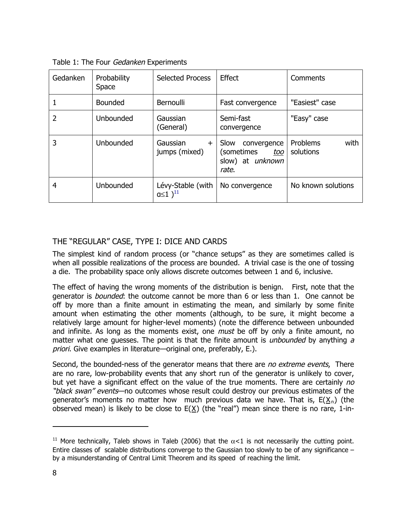| Gedanken | Probability<br>Space | <b>Selected Process</b>                         | Effect                                                                | Comments                      |
|----------|----------------------|-------------------------------------------------|-----------------------------------------------------------------------|-------------------------------|
|          | <b>Bounded</b>       | Bernoulli                                       | Fast convergence                                                      | "Easiest" case                |
| 2        | Unbounded            | Gaussian<br>(General)                           | Semi-fast<br>convergence                                              | "Easy" case                   |
| 3        | Unbounded            | Gaussian<br>$\pm$<br>jumps (mixed)              | Slow<br>convergence<br>(sometimes<br>too<br>slow) at unknown<br>rate. | Problems<br>with<br>solutions |
| 4        | Unbounded            | Lévy-Stable (with<br>$a \leq 1$ ) <sup>11</sup> | No convergence                                                        | No known solutions            |

Table 1: The Four Gedanken Experiments

# THE "REGULAR" CASE, TYPE I: DICE AND CARDS

The simplest kind of random process (or "chance setups" as they are sometimes called is when all possible realizations of the process are bounded. A trivial case is the one of tossing a die. The probability space only allows discrete outcomes between 1 and 6, inclusive.

The effect of having the wrong moments of the distribution is benign. First, note that the generator is *bounded*: the outcome cannot be more than 6 or less than 1. One cannot be off by more than a finite amount in estimating the mean, and similarly by some finite amount when estimating the other moments (although, to be sure, it might become a relatively large amount for higher-level moments) (note the difference between unbounded and infinite. As long as the moments exist, one *must* be off by only a finite amount, no matter what one quesses. The point is that the finite amount is *unbounded* by anything  $a$ priori. Give examples in literature—original one, preferably, E.).

Second, the bounded-ness of the generator means that there are no extreme events, There are no rare, low-probability events that any short run of the generator is unlikely to cover, but yet have a significant effect on the value of the true moments. There are certainly no "black swan" events—no outcomes whose result could destroy our previous estimates of the generator's moments no matter how much previous data we have. That is,  $E(X_n)$  (the observed mean) is likely to be close to  $E(X)$  (the "real") mean since there is no rare, 1-in-

 $\overline{a}$ 

<sup>&</sup>lt;sup>11</sup> More technically, Taleb shows in Taleb (2006) that the  $\alpha$ <1 is not necessarily the cutting point. Entire classes of scalable distributions converge to the Gaussian too slowly to be of any significance – by a misunderstanding of Central Limit Theorem and its speed of reaching the limit.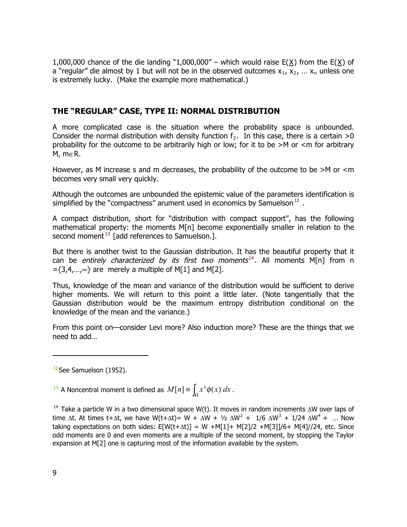1,000,000 chance of the die landing "1,000,000" – which would raise  $E(X)$  from the  $E(X)$  of a "regular" die almost by 1 but will not be in the observed outcomes  $x_1, x_2, ... x_n$  unless one is extremely lucky. (Make the example more mathematical.)

# **THE "REGULAR" CASE, TYPE II: NORMAL DISTRIBUTION**

A more complicated case is the situation where the probability space is unbounded. Consider the normal distribution with density function  $f_2$ . In this case, there is a certain >0 probability for the outcome to be arbitrarily high or low; for it to be >M or <m for arbitrary M, m∈R.

However, as M increase s and m decreases, the probability of the outcome to be  $>M$  or  $\leq m$ becomes very small very quickly.

Although the outcomes are unbounded the epistemic value of the parameters identification is simplified by the "compactness" arument used in economics by Samuelson.<sup>12</sup>.

A compact distribution, short for "distribution with compact support", has the following mathematical property: the moments M[n] become exponentially smaller in relation to the second moment $^{13}$  [add references to Samuelson.].

But there is another twist to the Gaussian distribution. It has the beautiful property that it can be *entirely characterized by its first two moments*<sup>14</sup>. All moments M[n] from n  $=\{3,4,...,\infty\}$  are merely a multiple of M[1] and M[2].

Thus, knowledge of the mean and variance of the distribution would be sufficient to derive higher moments. We will return to this point a little later. (Note tangentially that the Gaussian distribution would be the maximum entropy distribution conditional on the knowledge of the mean and the variance.)

From this point on—consider Levi more? Also induction more? These are the things that we need to add…

 $T^{\frac{13}{2}}$  A Noncentral moment is defined as  $M[n] \equiv \int_{\Omega} x^n \phi(x) dx$ .

 $14$ . Take a particle W in a two dimensional space W(t). It moves in random increments  $\Delta W$  over laps of time  $\Delta t$ . At times t+ $\Delta t$ , we have W(t+ $\Delta t$ )= W +  $\Delta W + V_2$   $\Delta W^2$  +  $1/6$   $\Delta W^3$  +  $1/24$   $\Delta W^4$  + ... Now taking expectations on both sides:  $E[W(t+\Delta t)] = W + M[1] + M[2]/2 + M[3]/6 + M[4]/24$ , etc. Since odd moments are 0 and even moments are a multiple of the second moment, by stopping the Taylor expansion at M[2] one is capturing most of the information available by the system.

j

 $12$ See Samuelson (1952).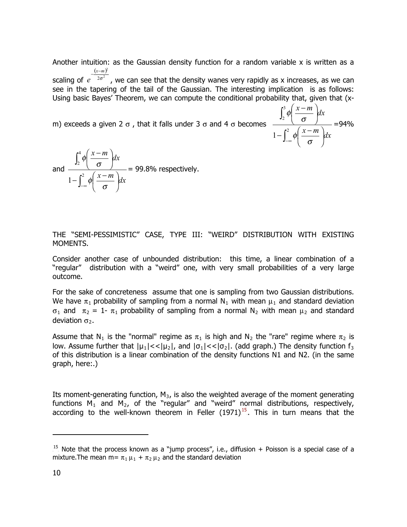Another intuition: as the Gaussian density function for a random variable  $x$  is written as a <u>(x−m)</u><sup>2</sup>

scaling of  $e^{-2\sigma^2}$  , we can see that the density wanes very rapidly as x increases, as we can see in the tapering of the tail of the Gaussian. The interesting implication is as follows: Using basic Bayes' Theorem, we can compute the conditional probability that, given that (x-

∫

2

 $-\infty$   $\phi\left(\frac{x-m}{\sigma}\right)$  $\frac{x-m}{x}$ 

 $1 - \int_0^2 \phi \left( \frac{x-m}{x}\right) dx$ 

 $\phi$   $\frac{\pi}{\sigma}$ 

 $\left(\frac{x-m}{x}\right)$ 

 $\frac{x-m}{x}$   $\Big|_{dx}$ 

⎠

=94%

⎝  $-\int^2 \phi\left(\frac{x-}{x}\right)$ 

⎝  $(x -$ 

 $\phi$   $\frac{\pi}{\sigma}$ 

∫

3 2

m) exceeds a given 2  $\sigma$  , that it falls under 3  $\sigma$  and 4  $\sigma$  becomes

and 
$$
\frac{\int_2^4 \phi \left( \frac{x-m}{\sigma} \right) dx}{1 - \int_{-\infty}^2 \phi \left( \frac{x-m}{\sigma} \right) dx} = 99.8\% \text{ respectively.}
$$

THE "SEMI-PESSIMISTIC" CASE, TYPE III: "WEIRD" DISTRIBUTION WITH EXISTING MOMENTS.

Consider another case of unbounded distribution: this time, a linear combination of a "regular" distribution with a "weird" one, with very small probabilities of a very large outcome.

For the sake of concreteness assume that one is sampling from two Gaussian distributions. We have  $\pi_1$  probability of sampling from a normal N<sub>1</sub> with mean  $\mu_1$  and standard deviation σ<sub>1</sub> and  $\pi_2 = 1$ -  $\pi_1$  probability of sampling from a normal N<sub>2</sub> with mean  $\mu_2$  and standard deviation  $\sigma_2$ .

Assume that N<sub>1</sub> is the "normal" regime as  $\pi_1$  is high and N<sub>2</sub> the "rare" regime where  $\pi_2$  is low. Assume further that  $|\mu_1| << |\mu_2|$ , and  $|\sigma_1| << |\sigma_2|$ . (add graph.) The density function  $f_3$ of this distribution is a linear combination of the density functions N1 and N2. (in the same graph, here:.)

Its moment-generating function,  $M_3$ , is also the weighted average of the moment generating functions  $M_1$  and  $M_2$ , of the "regular" and "weird" normal distributions, respectively, according to the well-known theorem in Feller  $(1971)^{15}$ . This in turn means that the

-

 $15$ . Note that the process known as a "jump process", i.e., diffusion + Poisson is a special case of a mixture. The mean m=  $\pi_1 \mu_1 + \pi_2 \mu_2$  and the standard deviation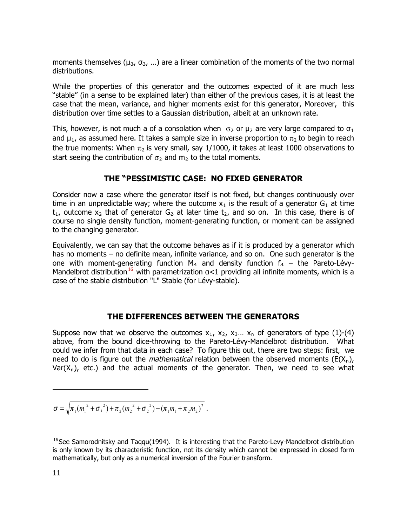moments themselves ( $\mu_3$ ,  $\sigma_3$ , ...) are a linear combination of the moments of the two normal distributions.

While the properties of this generator and the outcomes expected of it are much less "stable" (in a sense to be explained later) than either of the previous cases, it is at least the case that the mean, variance, and higher moments exist for this generator, Moreover, this distribution over time settles to a Gaussian distribution, albeit at an unknown rate.

This, however, is not much a of a consolation when  $\sigma_2$  or  $\mu_2$  are very large compared to  $\sigma_1$ and  $\mu_1$ , as assumed here. It takes a sample size in inverse proportion to  $\pi_2$  to begin to reach the true moments: When  $\pi_2$  is very small, say 1/1000, it takes at least 1000 observations to start seeing the contribution of  $\sigma_2$  and  $m_2$  to the total moments.

# **THE "PESSIMISTIC CASE: NO FIXED GENERATOR**

Consider now a case where the generator itself is not fixed, but changes continuously over time in an unpredictable way; where the outcome  $x_1$  is the result of a generator  $G_1$  at time  $t_1$ , outcome  $x_2$  that of generator  $G_2$  at later time  $t_2$ , and so on. In this case, there is of course no single density function, moment-generating function, or moment can be assigned to the changing generator.

Equivalently, we can say that the outcome behaves as if it is produced by a generator which has no moments – no definite mean, infinite variance, and so on. One such generator is the one with moment-generating function  $M_4$  and density function  $f_4$  – the Pareto-Lévy-Mandelbrot distribution.<sup>16</sup> with parametrization  $a<1$  providing all infinite moments, which is a case of the stable distribution "L" Stable (for Lévy-stable).

## **THE DIFFERENCES BETWEEN THE GENERATORS**

Suppose now that we observe the outcomes  $x_1$ ,  $x_2$ ,  $x_3...$   $x_n$  of generators of type (1)-(4) above, from the bound dice-throwing to the Pareto-Lévy-Mandelbrot distribution. What could we infer from that data in each case? To figure this out, there are two steps: first, we need to do is figure out the *mathematical* relation between the observed moments  $(E(X_n), E(Y_n))$ Var $(X_n)$ , etc.) and the actual moments of the generator. Then, we need to see what

$$
\sigma = \sqrt{\pi_1(m_1^2 + \sigma_1^2) + \pi_2(m_2^2 + \sigma_2^2) - (\pi_1 m_1 + \pi_2 m_2)^2}.
$$

-

 $16$ See Samorodnitsky and Taqqu(1994). It is interesting that the Pareto-Levy-Mandelbrot distribution is only known by its characteristic function, not its density which cannot be expressed in closed form mathematically, but only as a numerical inversion of the Fourier transform.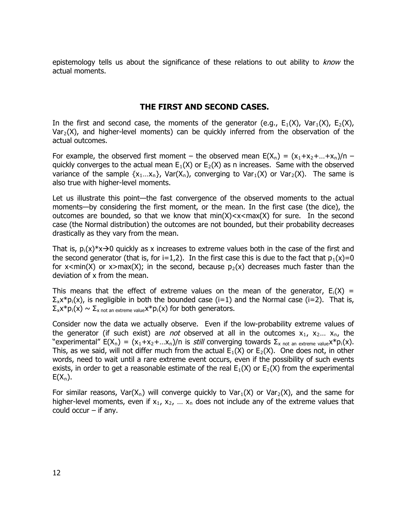epistemology tells us about the significance of these relations to out ability to *know* the actual moments.

# **THE FIRST AND SECOND CASES.**

In the first and second case, the moments of the generator (e.g.,  $E_1(X)$ , Var $_1(X)$ ,  $E_2(X)$ , Var<sub>2</sub>(X), and higher-level moments) can be quickly inferred from the observation of the actual outcomes.

For example, the observed first moment – the observed mean  $E(X_n) = (x_1+x_2+...+x_n)/n$  – quickly converges to the actual mean  $E_1(X)$  or  $E_2(X)$  as n increases. Same with the observed variance of the sample  $\{x_1...x_n\}$ , Var $(X_n)$ , converging to Var $_1(X)$  or Var $_2(X)$ . The same is also true with higher-level moments.

Let us illustrate this point—the fast convergence of the observed moments to the actual moments—by considering the first moment, or the mean. In the first case (the dice), the outcomes are bounded, so that we know that  $min(X) < x < max(X)$  for sure. In the second case (the Normal distribution) the outcomes are not bounded, but their probability decreases drastically as they vary from the mean.

That is,  $p_i(x)*x \rightarrow 0$  quickly as x increases to extreme values both in the case of the first and the second generator (that is, for i=1,2). In the first case this is due to the fact that  $p_1(x)=0$ for  $x$ <min(X) or  $x$ >max(X); in the second, because  $p_2(x)$  decreases much faster than the deviation of x from the mean.

This means that the effect of extreme values on the mean of the generator,  $E_i(X) =$  $\Sigma_{x}x^{*}p_{i}(x)$ , is negligible in both the bounded case (i=1) and the Normal case (i=2). That is,  $\Sigma_{\mathsf{x}} \mathsf{x}^* \mathsf{p}_\mathsf{i}(\mathsf{x}) \sim \Sigma_{\mathsf{x} \text{ not an extreme value}} \mathsf{x}^* \mathsf{p}_\mathsf{i}(\mathsf{x})$  for both generators.

Consider now the data we actually observe. Even if the low-probability extreme values of the generator (if such exist) are *not* observed at all in the outcomes  $x_1$ ,  $x_2...$   $x_n$ , the "experimental"  $E(X_n) = (x_1+x_2+...x_n)/n$  is *still* converging towards  $\Sigma_{x}$  not an extreme value  $X^*p_i(x)$ . This, as we said, will not differ much from the actual  $E_1(X)$  or  $E_2(X)$ . One does not, in other words, need to wait until a rare extreme event occurs, even if the possibility of such events exists, in order to get a reasonable estimate of the real  $E_1(X)$  or  $E_2(X)$  from the experimental  $E(X_n)$ .

For similar reasons, Var( $X_n$ ) will converge quickly to Var $_1(X)$  or Var $_2(X)$ , and the same for higher-level moments, even if  $x_1$ ,  $x_2$ , ...  $x_n$  does not include any of the extreme values that could occur  $-$  if any.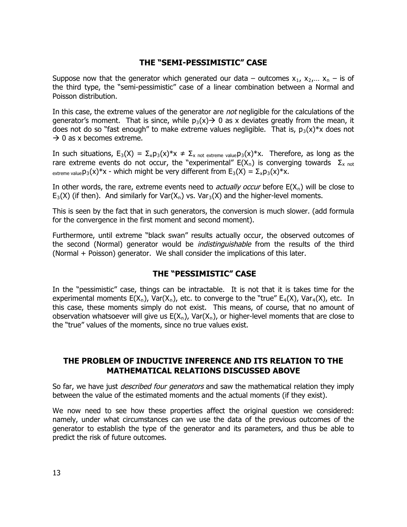# **THE "SEMI-PESSIMISTIC" CASE**

Suppose now that the generator which generated our data – outcomes  $x_1$ ,  $x_2,... x_n$  – is of the third type, the "semi-pessimistic" case of a linear combination between a Normal and Poisson distribution.

In this case, the extreme values of the generator are *not* negligible for the calculations of the generator's moment. That is since, while  $p_3(x) \rightarrow 0$  as x deviates greatly from the mean, it does not do so "fast enough" to make extreme values negligible. That is,  $p_3(x)*x$  does not  $\rightarrow$  0 as x becomes extreme.

In such situations,  $E_3(X) = \sum_x p_3(x)^*x \neq \sum_{x \text{ not extreme value}} p_3(x)^*x$ . Therefore, as long as the rare extreme events do not occur, the "experimental"  $E(X_n)$  is converging towards  $\Sigma_{x \text{ not}}$ <sub>extreme value</sub> $p_3(x)*x$  - which might be very different from  $E_3(X) = \sum_{x} p_3(x)*x$ .

In other words, the rare, extreme events need to *actually occur* before  $E(X_n)$  will be close to  $E_3(X)$  (if then). And similarly for Var( $X_n$ ) vs. Var $_3(X)$  and the higher-level moments.

This is seen by the fact that in such generators, the conversion is much slower. (add formula for the convergence in the first moment and second moment).

Furthermore, until extreme "black swan" results actually occur, the observed outcomes of the second (Normal) generator would be *indistinguishable* from the results of the third (Normal + Poisson) generator. We shall consider the implications of this later.

## **THE "PESSIMISTIC" CASE**

In the "pessimistic" case, things can be intractable. It is not that it is takes time for the experimental moments  $E(X_n)$ , Var $(X_n)$ , etc. to converge to the "true"  $E_4(X)$ , Var<sub>4</sub> $(X)$ , etc. In this case, these moments simply do not exist. This means, of course, that no amount of observation whatsoever will give us  $E(X_n)$ , Var(X<sub>n</sub>), or higher-level moments that are close to the "true" values of the moments, since no true values exist.

## **THE PROBLEM OF INDUCTIVE INFERENCE AND ITS RELATION TO THE MATHEMATICAL RELATIONS DISCUSSED ABOVE**

So far, we have just *described four generators* and saw the mathematical relation they imply between the value of the estimated moments and the actual moments (if they exist).

We now need to see how these properties affect the original question we considered: namely, under what circumstances can we use the data of the previous outcomes of the generator to establish the type of the generator and its parameters, and thus be able to predict the risk of future outcomes.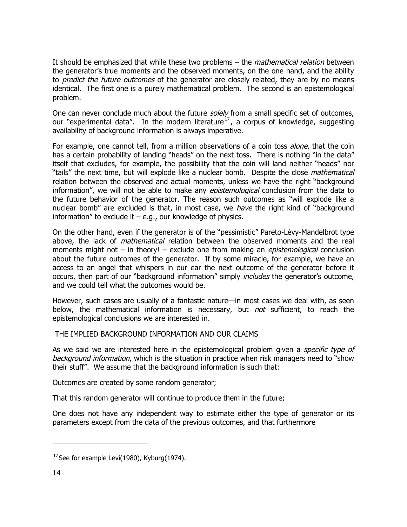It should be emphasized that while these two problems  $-$  the *mathematical relation* between the generator's true moments and the observed moments, on the one hand, and the ability to *predict the future outcomes* of the generator are closely related, they are by no means identical. The first one is a purely mathematical problem. The second is an epistemological problem.

One can never conclude much about the future solely from a small specific set of outcomes, our "experimental data". In the modern literature.<sup>17</sup>, a corpus of knowledge, suggesting availability of background information is always imperative.

For example, one cannot tell, from a million observations of a coin toss *alone*, that the coin has a certain probability of landing "heads" on the next toss. There is nothing "in the data" itself that excludes, for example, the possibility that the coin will land neither "heads" nor "tails" the next time, but will explode like a nuclear bomb. Despite the close mathematical relation between the observed and actual moments, unless we have the right "background information", we will not be able to make any *epistemological* conclusion from the data to the future behavior of the generator. The reason such outcomes as "will explode like a nuclear bomb" are excluded is that, in most case, we have the right kind of "background information" to exclude it  $-$  e.g., our knowledge of physics.

On the other hand, even if the generator is of the "pessimistic" Pareto-Lévy-Mandelbrot type above, the lack of *mathematical* relation between the observed moments and the real moments might not – in theory! – exclude one from making an *epistemological* conclusion about the future outcomes of the generator. If by some miracle, for example, we have an access to an angel that whispers in our ear the next outcome of the generator before it occurs, then part of our "background information" simply includes the generator's outcome, and we could tell what the outcomes would be.

However, such cases are usually of a fantastic nature—in most cases we deal with, as seen below, the mathematical information is necessary, but not sufficient, to reach the epistemological conclusions we are interested in.

THE IMPLIED BACKGROUND INFORMATION AND OUR CLAIMS

As we said we are interested here in the epistemological problem given a specific type of background information, which is the situation in practice when risk managers need to "show their stuff". We assume that the background information is such that:

Outcomes are created by some random generator;

That this random generator will continue to produce them in the future;

One does not have any independent way to estimate either the type of generator or its parameters except from the data of the previous outcomes, and that furthermore

-

 $17$  See for example Levi(1980), Kyburg(1974).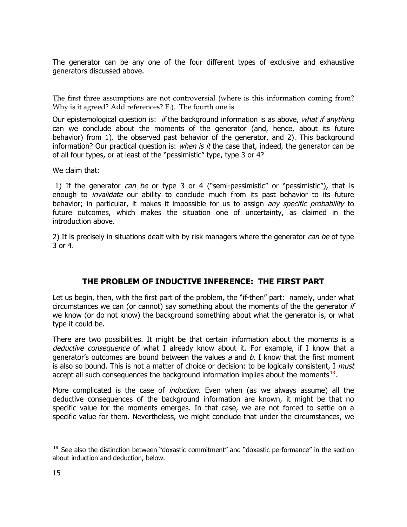The generator can be any one of the four different types of exclusive and exhaustive generators discussed above.

The first three assumptions are not controversial (where is this information coming from? Why is it agreed? Add references? E.). The fourth one is

Our epistemological question is: if the background information is as above, what if anything can we conclude about the moments of the generator (and, hence, about its future behavior) from 1). the observed past behavior of the generator, and 2). This background information? Our practical question is: when is it the case that, indeed, the generator can be of all four types, or at least of the "pessimistic" type, type 3 or 4?

We claim that:

1) If the generator can be or type 3 or 4 ("semi-pessimistic" or "pessimistic"), that is enough to *invalidate* our ability to conclude much from its past behavior to its future behavior; in particular, it makes it impossible for us to assign any specific probability to future outcomes, which makes the situation one of uncertainty, as claimed in the introduction above.

2) It is precisely in situations dealt with by risk managers where the generator *can be* of type 3 or 4.

# **THE PROBLEM OF INDUCTIVE INFERENCE: THE FIRST PART**

Let us begin, then, with the first part of the problem, the "if-then" part: namely, under what circumstances we can (or cannot) say something about the moments of the the generator  $if$ we know (or do not know) the background something about what the generator is, or what type it could be.

There are two possibilities. It might be that certain information about the moments is a deductive consequence of what I already know about it. For example, if I know that a generator's outcomes are bound between the values  $a$  and  $b$ , I know that the first moment is also so bound. This is not a matter of choice or decision: to be logically consistent, I must accept all such consequences the background information implies about the moments.<sup>18</sup>.

More complicated is the case of *induction*. Even when (as we always assume) all the deductive consequences of the background information are known, it might be that no specific value for the moments emerges. In that case, we are not forced to settle on a specific value for them. Nevertheless, we might conclude that under the circumstances, we

 $\overline{a}$ 

 $18$ . See also the distinction between "doxastic commitment" and "doxastic performance" in the section about induction and deduction, below.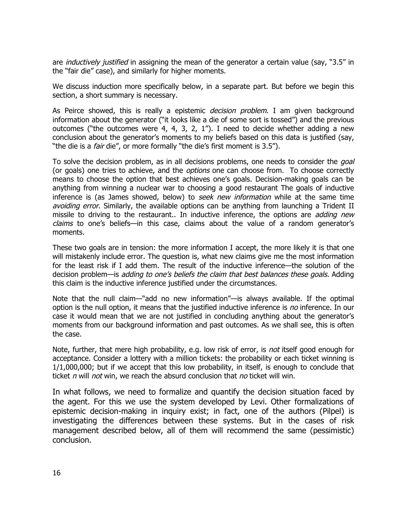are *inductively justified* in assigning the mean of the generator a certain value (say, "3.5" in the "fair die" case), and similarly for higher moments.

We discuss induction more specifically below, in a separate part. But before we begin this section, a short summary is necessary.

As Peirce showed, this is really a epistemic *decision problem*. I am given background information about the generator ("it looks like a die of some sort is tossed") and the previous outcomes ("the outcomes were 4, 4, 3, 2, 1"). I need to decide whether adding a new conclusion about the generator's moments to my beliefs based on this data is justified (say, "the die is a *fair* die", or more formally "the die's first moment is 3.5").

To solve the decision problem, as in all decisions problems, one needs to consider the *goal* (or goals) one tries to achieve, and the *options* one can choose from. To choose correctly means to choose the option that best achieves one's goals. Decision-making goals can be anything from winning a nuclear war to choosing a good restaurant The goals of inductive inference is (as James showed, below) to seek new information while at the same time avoiding error. Similarly, the available options can be anything from launching a Trident II missile to driving to the restaurant.. In inductive inference, the options are *adding new* claims to one's beliefs—in this case, claims about the value of a random generator's moments.

These two goals are in tension: the more information I accept, the more likely it is that one will mistakenly include error. The question is, what new claims give me the most information for the least risk if I add them. The result of the inductive inference—the solution of the decision problem—is *adding to one's beliefs the claim that best balances these goals*. Adding this claim is the inductive inference justified under the circumstances.

Note that the null claim—"add no new information"—is always available. If the optimal option is the null option, it means that the justified inductive inference is no inference. In our case it would mean that we are not justified in concluding anything about the generator's moments from our background information and past outcomes. As we shall see, this is often the case.

Note, further, that mere high probability, e.g. low risk of error, is *not* itself good enough for acceptance. Consider a lottery with a million tickets: the probability or each ticket winning is 1/1,000,000; but if we accept that this low probability, in itself, is enough to conclude that ticket n will not win, we reach the absurd conclusion that no ticket will win.

In what follows, we need to formalize and quantify the decision situation faced by the agent. For this we use the system developed by Levi. Other formalizations of epistemic decision-making in inquiry exist; in fact, one of the authors (Pilpel) is investigating the differences between these systems. But in the cases of risk management described below, all of them will recommend the same (pessimistic) conclusion.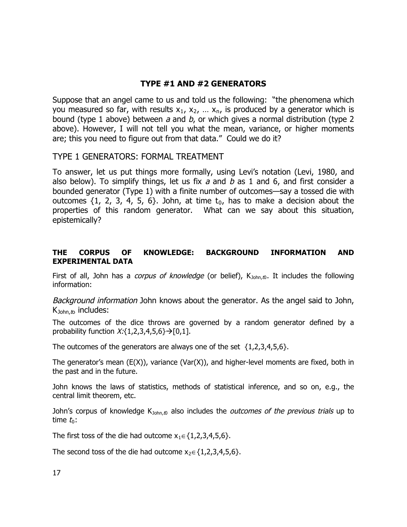# **TYPE #1 AND #2 GENERATORS**

Suppose that an angel came to us and told us the following: "the phenomena which you measured so far, with results  $x_1$ ,  $x_2$ , ...  $x_n$ , is produced by a generator which is bound (type 1 above) between  $a$  and  $b$ , or which gives a normal distribution (type 2 above). However, I will not tell you what the mean, variance, or higher moments are; this you need to figure out from that data." Could we do it?

# TYPE 1 GENERATORS: FORMAL TREATMENT

To answer, let us put things more formally, using Levi's notation (Levi, 1980, and also below). To simplify things, let us fix  $a$  and  $b$  as 1 and 6, and first consider a bounded generator (Type 1) with a finite number of outcomes—say a tossed die with outcomes  $\{1, 2, 3, 4, 5, 6\}$ . John, at time  $t_0$ , has to make a decision about the properties of this random generator. What can we say about this situation, epistemically?

# **THE CORPUS OF KNOWLEDGE: BACKGROUND INFORMATION AND EXPERIMENTAL DATA**

First of all, John has a *corpus of knowledge* (or belief), K<sub>John,t0</sub>. It includes the following information:

Background information John knows about the generator. As the angel said to John,  $K_{John, to}$  includes:

The outcomes of the dice throws are governed by a random generator defined by a probability function  $X:\{1,2,3,4,5,6\} \rightarrow [0,1].$ 

The outcomes of the generators are always one of the set  $\{1,2,3,4,5,6\}$ .

The generator's mean  $(E(X))$ , variance  $(Var(X))$ , and higher-level moments are fixed, both in the past and in the future.

John knows the laws of statistics, methods of statistical inference, and so on, e.g., the central limit theorem, etc.

John's corpus of knowledge K<sub>John,t0</sub> also includes the *outcomes of the previous trials* up to time  $t_0$ :

The first toss of the die had outcome  $x_1 \in \{1,2,3,4,5,6\}$ .

The second toss of the die had outcome  $x_2 \in \{1,2,3,4,5,6\}$ .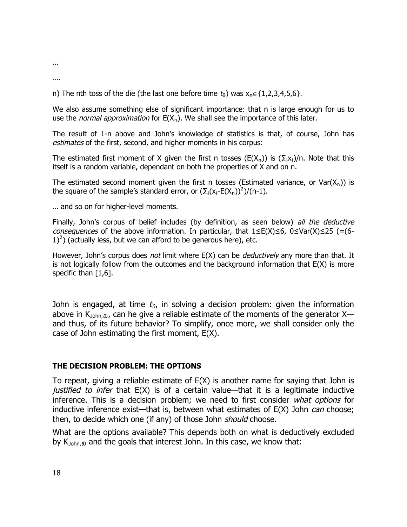…

….

n) The nth toss of the die (the last one before time  $t_0$ ) was  $x_n \in \{1,2,3,4,5,6\}$ .

We also assume something else of significant importance: that n is large enough for us to use the *normal approximation* for E(X<sub>n</sub>). We shall see the importance of this later.

The result of 1-n above and John's knowledge of statistics is that, of course, John has estimates of the first, second, and higher moments in his corpus:

The estimated first moment of X given the first n tosses (E(X<sub>n</sub>)) is (∑<sub>i</sub>x<sub>i</sub>)/n. Note that this itself is a random variable, dependant on both the properties of X and on n.

The estimated second moment given the first n tosses (Estimated variance, or Var $(X_n)$ ) is the square of the sample's standard error, or  $(\Sigma_i(X_i - E(X_i))^2)/((n-1)$ .

… and so on for higher-level moments.

Finally, John's corpus of belief includes (by definition, as seen below) all the deductive consequences of the above information. In particular, that  $1 \le E(X) \le 6$ ,  $0 \le Var(X) \le 25$  (=(6- $(1)^2$ ) (actually less, but we can afford to be generous here), etc.

However, John's corpus does not limit where E(X) can be *deductively* any more than that. It is not logically follow from the outcomes and the background information that  $E(X)$  is more specific than  $[1,6]$ .

John is engaged, at time  $t_o$ , in solving a decision problem: given the information above in K<sub>John,t0</sub>, can he give a reliable estimate of the moments of the generator X and thus, of its future behavior? To simplify, once more, we shall consider only the case of John estimating the first moment, E(X).

## **THE DECISION PROBLEM: THE OPTIONS**

To repeat, giving a reliable estimate of E(X) is another name for saying that John is *justified to infer* that  $E(X)$  is of a certain value—that it is a legitimate inductive inference. This is a decision problem; we need to first consider what options for inductive inference exist—that is, between what estimates of  $E(X)$  John *can* choose; then, to decide which one (if any) of those John *should* choose.

What are the options available? This depends both on what is deductively excluded by  $K_{John, t0}$  and the goals that interest John. In this case, we know that: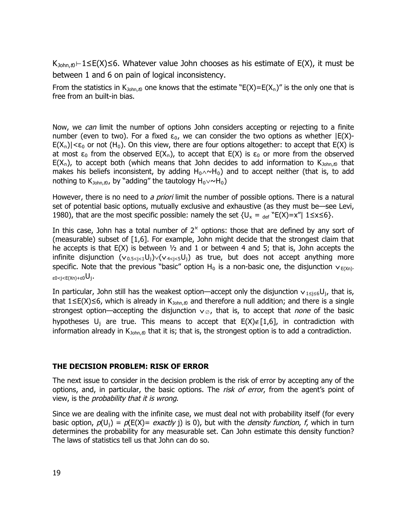K<sub>John,t0</sub>⊢1≤E(X)≤6. Whatever value John chooses as his estimate of E(X), it must be between 1 and 6 on pain of logical inconsistency.

From the statistics in  $K_{John,to}$  one knows that the estimate "E(X)=E(X<sub>n</sub>)" is the only one that is free from an built-in bias.

Now, we can limit the number of options John considers accepting or rejecting to a finite number (even to two). For a fixed  $\varepsilon_0$ , we can consider the two options as whether  $|E(X) E(X_n)|<\epsilon_0$  or not (H<sub>0</sub>). On this view, there are four options altogether: to accept that E(X) is at most  $\varepsilon_0$  from the observed E(X<sub>n</sub>), to accept that E(X) is  $\varepsilon_0$  or more from the observed  $E(X_n)$ , to accept both (which means that John decides to add information to  $K_{\text{John},\text{to}}$  that makes his beliefs inconsistent, by adding  $H_0 \wedge \neg H_0$ ) and to accept neither (that is, to add nothing to K<sub>John,t0</sub>, by "adding" the tautology  $H_0 \vee \sim H_0$ )

However, there is no need to a priori limit the number of possible options. There is a natural set of potential basic options, mutually exclusive and exhaustive (as they must be—see Levi, 1980), that are the most specific possible: namely the set  $\{U_x = \text{def} \,\text{``E(X)=x''} \mid 1 \le x \le 6\}.$ 

In this case, John has a total number of  $2^{\aleph}$  options: those that are defined by any sort of (measurable) subset of [1,6]. For example, John might decide that the strongest claim that he accepts is that  $E(X)$  is between  $\frac{1}{2}$  and 1 or between 4 and 5; that is, John accepts the infinite disjunction  $(v_{0.5\le i\le 1}U_i)\vee(v_{4\le i\le 5}U_i)$  as true, but does not accept anything more specific. Note that the previous "basic" option  $H_0$  is a non-basic one, the disjunction  $v_{E(Xn)}$ ε0<j<E(Xn)+ε0 $\mathsf{U}_\mathrm{j}$ .

In particular, John still has the weakest option—accept only the disjunction  $v_{1 \leq i \leq 6}U_{i}$ , that is, that 1≤E(X)≤6, which is already in K<sub>John,t0</sub> and therefore a null addition; and there is a single strongest option—accepting the disjunction v<sub>.</sub> c, that is, to accept that *none* of the basic hypotheses  $U_i$  are true. This means to accept that  $E(X) \notin [1,6]$ , in contradiction with information already in  $K_{John,0}$  that it is; that is, the strongest option is to add a contradiction.

#### **THE DECISION PROBLEM: RISK OF ERROR**

The next issue to consider in the decision problem is the risk of error by accepting any of the options, and, in particular, the basic options. The risk of error, from the agent's point of view, is the probability that it is wrong.

Since we are dealing with the infinite case, we must deal not with probability itself (for every basic option,  $p(U_j) = p(E(X)) = exactly$  j) is 0), but with the *density function, f*, which in turn determines the probability for any measurable set. Can John estimate this density function? The laws of statistics tell us that John can do so.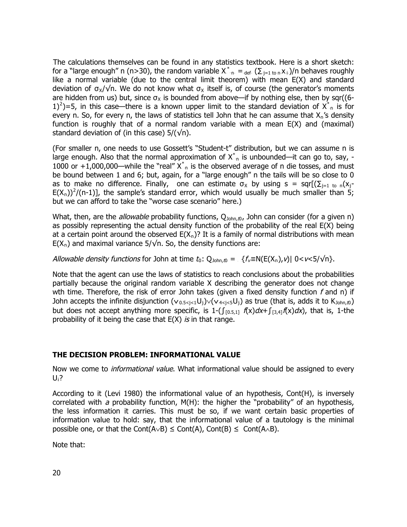The calculations themselves can be found in any statistics textbook. Here is a short sketch: for a "large enough" n (n>30), the random variable  $X_{-n}^* =_{def} (\sum_{j=1 \text{ to } n} X_{+})/n$  behaves roughly like a normal variable (due to the central limit theorem) with mean E(X) and standard deviation of  $\sigma_{\mathsf{x}}/\sqrt{n}$ . We do not know what  $\sigma_{\mathsf{x}}$  itself is, of course (the generator's moments are hidden from us) but, since  $\sigma_{\chi}$  is bounded from above—if by nothing else, then by sqr((6-1)<sup>2</sup>)=5, in this case—there is a known upper limit to the standard deviation of  $X^*_{n}$  is for every n. So, for every n, the laws of statistics tell John that he can assume that  $X_n$ 's density function is roughly that of a normal random variable with a mean E(X) and (maximal) standard deviation of (in this case)  $5/(\sqrt{n})$ .

(For smaller n, one needs to use Gossett's "Student-t" distribution, but we can assume n is large enough. Also that the normal approximation of  $X^*_{\cdot n}$  is unbounded—it can go to, say, -1000 or +1,000,000—while the "real"  $X^*_{n}$  is the observed average of n die tosses, and must be bound between 1 and 6; but, again, for a "large enough" n the tails will be so close to 0 as to make no difference. Finally, one can estimate  $\sigma_x$  by using s = sqr[( $\sum_{i=1}$  to n( $x_i$ - $E(X_n))^2/(n-1)$ , the sample's standard error, which would usually be much smaller than 5; but we can afford to take the "worse case scenario" here.)

What, then, are the *allowable* probability functions, Q<sub>John,t0</sub>, John can consider (for a given n) as possibly representing the actual density function of the probability of the real E(X) being at a certain point around the observed  $E(X_n)$ ? It is a family of normal distributions with mean  $E(X_n)$  and maximal variance 5/ $\sqrt{n}$ . So, the density functions are:

Allowable density functions for John at time  $t_0$ :  $Q_{\text{John},t0} = \{f_v \equiv N(E(X_n), v) | 0 < v < 5/\sqrt{n}\}.$ 

Note that the agent can use the laws of statistics to reach conclusions about the probabilities partially because the original random variable X describing the generator does not change wth time. Therefore, the risk of error John takes (given a fixed density function  $f$  and n) if John accepts the infinite disjunction  $(v_{0.5 < i < 1}U_i) \vee (v_{4 < i < 5}U_i)$  as true (that is, adds it to  $K_{\text{John},\text{to}}$ ) but does not accept anything more specific, is 1- $(\int_{[0.5,1]} f(x)dx + \int_{[3,4]} f(x)dx)$ , that is, 1-the probability of it being the case that  $E(X)$  is in that range.

#### **THE DECISION PROBLEM: INFORMATIONAL VALUE**

Now we come to *informational value*. What informational value should be assigned to every  $\mathsf{U}_\dagger$ ?

According to it (Levi 1980) the informational value of an hypothesis, Cont(H), is inversely correlated with a probability function,  $M(H)$ : the higher the "probability" of an hypothesis, the less information it carries. This must be so, if we want certain basic properties of information value to hold: say, that the informational value of a tautology is the minimal possible one, or that the Cont(A∨B)  $\leq$  Cont(A), Cont(B)  $\leq$  Cont(A∧B).

Note that: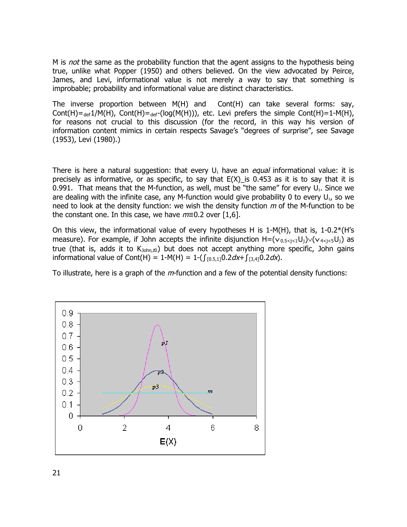M is not the same as the probability function that the agent assigns to the hypothesis being true, unlike what Popper (1950) and others believed. On the view advocated by Peirce, James, and Levi, informational value is not merely a way to say that something is improbable; probability and informational value are distinct characteristics.

The inverse proportion between M(H) and Cont(H) can take several forms: say, Cont(H)= $_{\text{def}}1/M(H)$ , Cont(H)= $_{\text{def}}$ -(log(M(H))), etc. Levi prefers the simple Cont(H)=1-M(H), for reasons not crucial to this discussion (for the record, in this way his version of information content mimics in certain respects Savage's "degrees of surprise", see Savage (1953), Levi (1980).)

There is here a natural suggestion: that every U<sub>i</sub> have an equal informational value: it is precisely as informative, or as specific, to say that  $E(X)$  is 0.453 as it is to say that it is 0.991. That means that the M-function, as well, must be "the same" for every  $U_i$ . Since we are dealing with the infinite case, any M-function would give probability 0 to every  $U_i$ , so we need to look at the density function: we wish the density function  $m$  of the M-function to be the constant one. In this case, we have  $m=0.2$  over [1,6].

On this view, the informational value of every hypotheses H is  $1-M(H)$ , that is,  $1-0.2*(H's)$ measure). For example, if John accepts the infinite disjunction  $H = (v_{0.5 < j < 1}U_j) \vee (v_{4 < j < 5}U_j)$  as true (that is, adds it to  $K_{John,t0}$ ) but does not accept anything more specific, John gains informational value of Cont(H) = 1-M(H) = 1-( $\int_{[0.5,1]} 0.2 dx + \int_{[3,4]} 0.2 dx$ ).

To illustrate, here is a graph of the  $m$ -function and a few of the potential density functions:

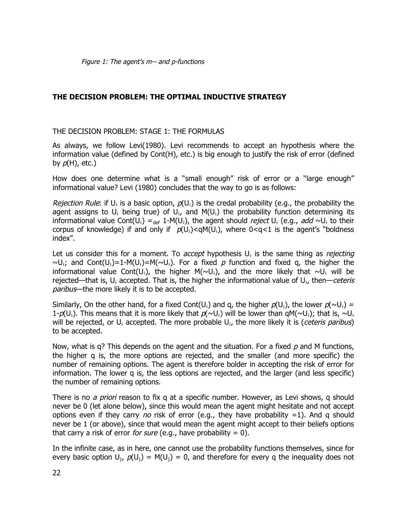# **THE DECISION PROBLEM: THE OPTIMAL INDUCTIVE STRATEGY**

#### THE DECISION PROBLEM: STAGE 1: THE FORMULAS

As always, we follow Levi(1980). Levi recommends to accept an hypothesis where the information value (defined by Cont(H), etc.) is big enough to justify the risk of error (defined by  $p(H)$ , etc.)

How does one determine what is a "small enough" risk of error or a "large enough" informational value? Levi (1980) concludes that the way to go is as follows:

Rejection Rule: if U<sub>i</sub> is a basic option,  $p(\mathsf{U}_i)$  is the credal probability (e.g., the probability the agent assigns to  $U_i$  being true) of  $U_i$ , and  $M(U_i)$  the probability function determining its informational value Cont(U<sub>i</sub>) =<sub>def</sub> 1-M(U<sub>i</sub>), the agent should *reject* U<sub>i</sub> (e.g., add ~U<sub>i</sub> to their corpus of knowledge) if and only if  $p(U_i) < qM(U_i)$ , where  $0 < q < 1$  is the agent's "boldness index".

Let us consider this for a moment. To *accept* hypothesis U<sub>i</sub> is the same thing as *rejecting*  $\sim U_i$ ; and Cont(U<sub>i</sub>)=1-M(U<sub>i</sub>)=M( $\sim U_i$ ). For a fixed p function and fixed q, the higher the informational value Cont(U<sub>i</sub>), the higher M(~U<sub>i</sub>), and the more likely that ~U<sub>i</sub> will be rejected—that is, U<sub>i</sub> accepted. That is, the higher the informational value of U<sub>i</sub>, then—ceteris paribus—the more likely it is to be accepted.

Similarly, On the other hand, for a fixed Cont(U<sub>i</sub>) and q, the higher  $p(U_i)$ , the lower  $p(\sim U_i)$  = 1- $p(U_i)$ . This means that it is more likely that  $p(\sim U_i)$  will be lower than qM( $\sim U_i$ ); that is,  $\sim U_i$ will be rejected, or U<sub>i</sub> accepted. The more probable U<sub>i</sub>, the more likely it is (*ceteris paribus*) to be accepted.

Now, what is q? This depends on the agent and the situation. For a fixed  $p$  and M functions, the higher q is, the more options are rejected, and the smaller (and more specific) the number of remaining options. The agent is therefore bolder in accepting the risk of error for information. The lower q is, the less options are rejected, and the larger (and less specific) the number of remaining options.

There is no *a priori* reason to fix q at a specific number. However, as Levi shows, q should never be 0 (let alone below), since this would mean the agent might hesitate and not accept options even if they carry no risk of error (e.g., they have probability  $=1$ ). And q should never be 1 (or above), since that would mean the agent might accept to their beliefs options that carry a risk of error for sure (e.g., have probability  $= 0$ ).

In the infinite case, as in here, one cannot use the probability functions themselves, since for every basic option  $U_j$ ,  $p(U_j) = M(U_j) = 0$ , and therefore for every q the inequality does not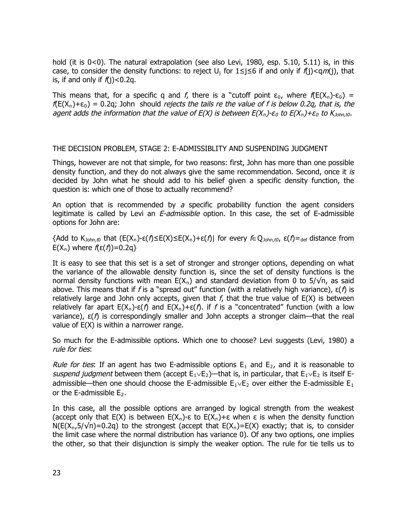hold (it is 0<0). The natural extrapolation (see also Levi, 1980, esp. 5.10, 5.11) is, in this case, to consider the density functions: to reject  $U_j$  for  $1 \le j \le 6$  if and only if  $f(j) < qm(j)$ , that is, if and only if  $f(i) < 0.2q$ .

This means that, for a specific q and f, there is a "cutoff point  $\varepsilon_0$ , where  $f(E(X_n)-\varepsilon_0) =$  $f(E(X_n)+\epsilon_0) = 0.2q$ ; John should rejects the tails re the value of f is below 0.2q, that is, the agent adds the information that the value of E(X) is between  $E(X_n)$ -ε<sub>0</sub> to  $E(X_n)$ +ε<sub>0</sub> to  $K_{John,t0}$ .

#### THE DECISION PROBLEM, STAGE 2: E-ADMISSIBLITY AND SUSPENDING JUDGMENT

Things, however are not that simple, for two reasons: first, John has more than one possible density function, and they do not always give the same recommendation. Second, once it is decided by John what he should add to his belief given a specific density function, the question is: which one of those to actually recommend?

An option that is recommended by a specific probability function the agent considers legitimate is called by Levi an E-admissible option. In this case, the set of E-admissible options for John are:

{Add to K<sub>John,t0</sub> that (E(X<sub>n</sub>)-ε( $f$ )≤E(X)≤E(X<sub>n</sub>)+ε( $f$ )| for every  $f \in Q$ <sub>John,t0</sub>, ε( $f$ )=<sub>def</sub> distance from E(X<sub>n</sub>) where  $f(\varepsilon(f))$ =0.2q}

It is easy to see that this set is a set of stronger and stronger options, depending on what the variance of the allowable density function is, since the set of density functions is the normal density functions with mean  $E(X_n)$  and standard deviation from 0 to 5/ $\sqrt{n}$ , as said above. This means that if f is a "spread out" function (with a relatively high variance),  $ε(f)$  is relatively large and John only accepts, given that  $f$ , that the true value of  $E(X)$  is between relatively far apart  $E(X_n)-\varepsilon(f)$  and  $E(X_n)+\varepsilon(f)$ . if f is a "concentrated" function (with a low variance),  $ε(f)$  is correspondingly smaller and John accepts a stronger claim—that the real value of E(X) is within a narrower range.

So much for the E-admissible options. Which one to choose? Levi suggests (Levi, 1980) a rule for ties:

Rule for ties: If an agent has two E-admissible options  $E_1$  and  $E_2$ , and it is reasonable to suspend judgment between them (accept  $E_1 \vee E_2$ )—that is, in particular, that  $E_1 \vee E_2$  is itself Eadmissible—then one should choose the E-admissible  $\mathsf{E}_1 \mathord{\sim} \mathsf{E}_2$  over either the E-admissible  $\mathsf{E}_1$ or the E-admissible  $E_2$ .

In this case, all the possible options are arranged by logical strength from the weakest (accept only that E(X) is between  $E(X_n)-\epsilon$  to  $E(X_n)+\epsilon$  when  $\epsilon$  is when the density function  $N(E(X_n,5/\sqrt{n})$ =0.2q) to the strongest (accept that  $E(X_n)=E(X)$  exactly; that is, to consider the limit case where the normal distribution has variance 0). Of any two options, one implies the other, so that their disjunction is simply the weaker option. The rule for tie tells us to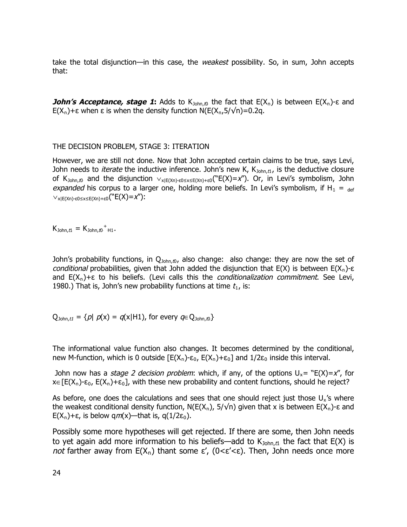take the total disjunction—in this case, the *weakest* possibility. So, in sum, John accepts that:

**John's Acceptance, stage 1:** Adds to K<sub>John,t0</sub> the fact that E(X<sub>n</sub>) is between E(X<sub>n</sub>)-ε and E(X<sub>n</sub>)+ε when ε is when the density function N(E(X<sub>n</sub>,5/√n)=0.2q.

#### THE DECISION PROBLEM, STAGE 3: ITERATION

However, we are still not done. Now that John accepted certain claims to be true, says Levi, John needs to *iterate* the inductive inference. John's new K,  $K_{John, t1}$ , is the deductive closure of K<sub>John,t0</sub> and the disjunction  $\vee_{x|E(Xn)\text{-}\varepsilon 0\leq x\leq E(Xn)+\varepsilon 0}$ ("E(X)=x"). Or, in Levi's symbolism, John expanded his corpus to a larger one, holding more beliefs. In Levi's symbolism, if  $H_1 =_{def}$  $\vee_{x|E(Xn)-ε0\leq x\leq E(Xn)+ε0}$ ("E(X)=X"):

 $K_{John, t1} = K_{John, t0}$ <sup>+</sup><sub>H1</sub>.

John's probability functions, in  $Q_{\text{John},\text{to}}$ , also change: also change: they are now the set of conditional probabilities, given that John added the disjunction that  $E(X)$  is between  $E(X_n)$ -ε and E(X<sub>n</sub>)+ε to his beliefs. (Levi calls this the *conditionalization commitment*. See Levi, 1980.) That is, John's new probability functions at time  $t_1$ , is:

 $Q_{John,tl} = \{p | p(x) = q(x|H1)$ , for every  $q \in Q_{John,tb}\}$ 

The informational value function also changes. It becomes determined by the conditional, new M-function, which is 0 outside  $[E(X_n)-\varepsilon_0, E(X_n)+\varepsilon_0]$  and  $1/2\varepsilon_0$  inside this interval.

John now has a *stage 2 decision problem*: which, if any, of the options  $U_x = "E(X)=x"$ , for  $x \in [E(X_n)-\epsilon_0, E(X_n)+\epsilon_0]$ , with these new probability and content functions, should he reject?

As before, one does the calculations and sees that one should reject just those  $U_x$ 's where the weakest conditional density function, N(E(X<sub>n</sub>), 5/√n) given that x is between E(X<sub>n</sub>)-ε and E(X<sub>n</sub>)+ε, is below qm(x)—that is, q(1/2ε<sub>0</sub>).

Possibly some more hypotheses will get rejected. If there are some, then John needs to yet again add more information to his beliefs—add to  $K_{\text{John},t1}$  the fact that E(X) is not farther away from  $E(X_n)$  thant some  $\varepsilon'$ , (0< $\varepsilon'$ <ε). Then, John needs once more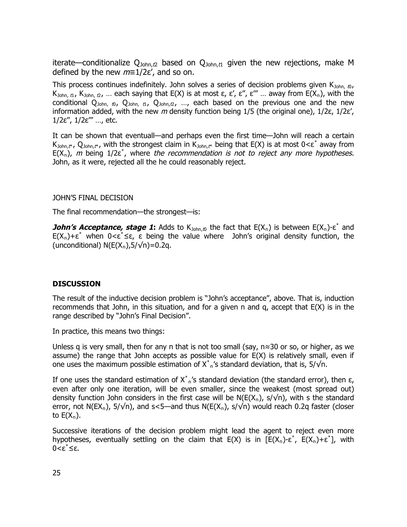iterate—conditionalize  $Q_{John,t2}$  based on  $Q_{John,t1}$  given the new rejections, make M defined by the new  $m=1/2\varepsilon'$ , and so on.

This process continues indefinitely. John solves a series of decision problems given  $K_{\text{John, 0}}$ , K<sub>John, t1</sub>, K<sub>John, t2</sub>, ... each saying that E(X) is at most ε, ε', ε'', ε''' ... away from E(X<sub>n</sub>), with the conditional  $Q_{John, to}$ ,  $Q_{John, tl}$ ,  $Q_{John, t2}$ , ..., each based on the previous one and the new information added, with the new m density function being  $1/5$  (the original one),  $1/2\varepsilon$ ,  $1/2\varepsilon'$ , 1/2ε'', 1/2ε''' …, etc.

It can be shown that eventuall—and perhaps even the first time—John will reach a certain K<sub>John,t\*</sub>, Q<sub>John,t\*</sub>, with the strongest claim in K<sub>John,t\*</sub> being that E(X) is at most  $0<\epsilon^*$  away from  $E(X_n)$ , m being 1/2 $\varepsilon^*$ , where the recommendation is not to reject any more hypotheses. John, as it were, rejected all the he could reasonably reject.

JOHN'S FINAL DECISION

The final recommendation—the strongest—is:

**John's Acceptance, stage 1:** Adds to K<sub>John,t0</sub> the fact that E(X<sub>n</sub>) is between E(X<sub>n</sub>)-ε<sup>\*</sup> and  $E(X_n)+\varepsilon^*$  when  $0<\varepsilon^* \leq \varepsilon$ ,  $\varepsilon$  being the value where John's original density function, the (unconditional)  $N(E(X_n), 5/\sqrt{n}) = 0.2q$ .

#### **DISCUSSION**

The result of the inductive decision problem is "John's acceptance", above. That is, induction recommends that John, in this situation, and for a given n and q, accept that E(X) is in the range described by "John's Final Decision".

In practice, this means two things:

Unless q is very small, then for any n that is not too small (say, n≈30 or so, or higher, as we assume) the range that John accepts as possible value for  $E(X)$  is relatively small, even if one uses the maximum possible estimation of  $X^*_{n}$ 's standard deviation, that is, 5/ $\sqrt{}$ n.

If one uses the standard estimation of  $X^*_{-n}$ 's standard deviation (the standard error), then ε, even after only one iteration, will be even smaller, since the weakest (most spread out) density function John considers in the first case will be  $N(E(X_n), s/\sqrt{n})$ , with s the standard error, not N(EX<sub>n</sub>), 5/√n), and s<5—and thus N(E(X<sub>n</sub>), s/√n) would reach 0.2q faster (closer to  $E(X_n)$ .

Successive iterations of the decision problem might lead the agent to reject even more hypotheses, eventually settling on the claim that  $E(X)$  is in  $[E(X_n)-\varepsilon^*, E(X_n)+\varepsilon^*]$ , with 0<ε<sup>\*</sup>≤ε.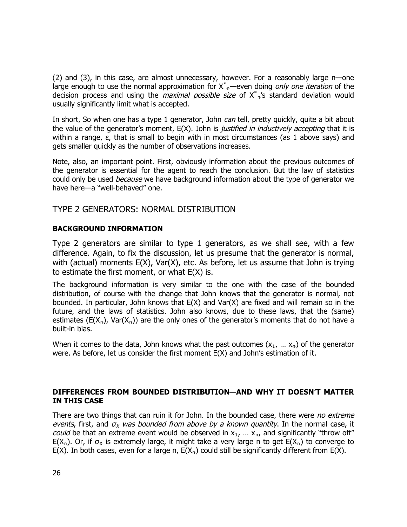(2) and (3), in this case, are almost unnecessary, however. For a reasonably large n—one large enough to use the normal approximation for  $X^*_{-n}$ —even doing *only one iteration* of the decision process and using the *maximal possible size* of  $X^*_{n}$ 's standard deviation would usually significantly limit what is accepted.

In short, So when one has a type 1 generator, John *can* tell, pretty quickly, quite a bit about the value of the generator's moment,  $E(X)$ . John is *justified in inductively accepting* that it is within a range,  $\varepsilon$ , that is small to begin with in most circumstances (as 1 above says) and gets smaller quickly as the number of observations increases.

Note, also, an important point. First, obviously information about the previous outcomes of the generator is essential for the agent to reach the conclusion. But the law of statistics could only be used *because* we have background information about the type of generator we have here—a "well-behaved" one.

# TYPE 2 GENERATORS: NORMAL DISTRIBUTION

### **BACKGROUND INFORMATION**

Type 2 generators are similar to type 1 generators, as we shall see, with a few difference. Again, to fix the discussion, let us presume that the generator is normal, with (actual) moments  $E(X)$ , Var $(X)$ , etc. As before, let us assume that John is trying to estimate the first moment, or what  $E(X)$  is.

The background information is very similar to the one with the case of the bounded distribution, of course with the change that John knows that the generator is normal, not bounded. In particular, John knows that  $E(X)$  and  $Var(X)$  are fixed and will remain so in the future, and the laws of statistics. John also knows, due to these laws, that the (same) estimates (E(X<sub>n</sub>), Var(X<sub>n</sub>)) are the only ones of the generator's moments that do not have a built-in bias.

When it comes to the data, John knows what the past outcomes  $(x_1, ..., x_n)$  of the generator were. As before, let us consider the first moment E(X) and John's estimation of it.

### **DIFFERENCES FROM BOUNDED DISTRIBUTION—AND WHY IT DOESN'T MATTER IN THIS CASE**

There are two things that can ruin it for John. In the bounded case, there were no extreme events, first, and  $\sigma_x$  was bounded from above by a known quantity. In the normal case, it *could* be that an extreme event would be observed in  $x_1$ , ...  $x_n$ , and significantly "throw off" E(X<sub>n</sub>). Or, if  $\sigma_x$  is extremely large, it might take a very large n to get E(X<sub>n</sub>) to converge to E(X). In both cases, even for a large n,  $E(X_n)$  could still be significantly different from E(X).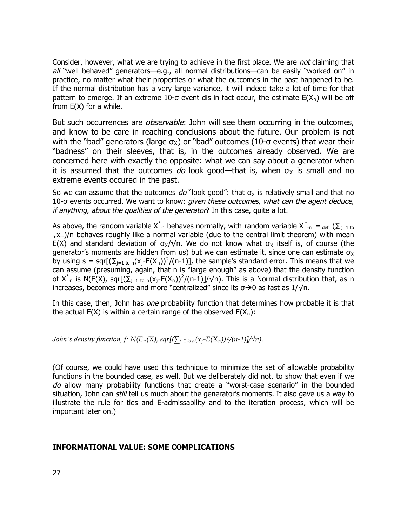Consider, however, what we are trying to achieve in the first place. We are not claiming that  $all$  "well behaved" generators—e.g., all normal distributions—can be easily "worked on" in practice, no matter what their properties or what the outcomes in the past happened to be. If the normal distribution has a very large variance, it will indeed take a lot of time for that pattern to emerge. If an extreme 10- $\sigma$  event dis in fact occur, the estimate E(X<sub>n</sub>) will be off from  $E(X)$  for a while.

But such occurrences are *observable*: John will see them occurring in the outcomes, and know to be care in reaching conclusions about the future. Our problem is not with the "bad" generators (large  $\sigma_{\mathrm{X}}$ ) or "bad" outcomes (10- $\sigma$  events) that wear their "badness" on their sleeves, that is, in the outcomes already observed. We are concerned here with exactly the opposite: what we can say about a generator when it is assumed that the outcomes do look good—that is, when  $\sigma_X$  is small and no extreme events occured in the past.

So we can assume that the outcomes  $do$  "look good": that  $\sigma_X$  is relatively small and that no 10-σ events occurred. We want to know: given these outcomes, what can the agent deduce, if anything, about the qualities of the generator? In this case, quite a lot.

As above, the random variable X<sup>\*</sup><sub>n</sub> behaves normally, with random variable X<sup>\*</sup>-<sub>n-</sub> =<sub>-def-</sub> ( $\Sigma_{j=1 \text{ to }}$  $n_x\lambda_i$ )/n behaves roughly like a normal variable (due to the central limit theorem) with mean E(X) and standard deviation of  $\sigma_{\mathsf{x}}/\sqrt{n}$ . We do not know what  $\sigma_{\mathsf{x}}$  itself is, of course (the generator's moments are hidden from us) but we can estimate it, since one can estimate  $\sigma_{\mathsf{x}}$ by using s = sqr[ $(\sum_{j=1 \text{ to } n} (x_j-E(X_n))^2/(n-1)]$ , the sample's standard error. This means that we can assume (presuming, again, that n is "large enough" as above) that the density function of  $X^*_{n}$  is N(E(X), sqr[( $\Sigma_{j=1 \text{ to } n}(x_j$ -E(X<sub>n</sub>))<sup>2</sup>/(n-1)]/ $\sqrt{n}$ ). This is a Normal distribution that, as n increases, becomes more and more "centralized" since its  $\sigma$   $\rightarrow$  0 as fast as 1/ $\sqrt{\ }$ n.

In this case, then, John has *one* probability function that determines how probable it is that the actual E(X) is within a certain range of the observed  $E(X_n)$ :

John's density function, f:  $N(E_n(X), sqr[(\sum_{j=1}^{n} to n(x_j-E(X_n))^2/(n-1)]/ \sqrt{n}).$ 

(Of course, we could have used this technique to minimize the set of allowable probability functions in the bounded case, as well. But we deliberately did not, to show that even if we do allow many probability functions that create a "worst-case scenario" in the bounded situation, John can *still* tell us much about the generator's moments. It also gave us a way to illustrate the rule for ties and E-admissability and to the iteration process, which will be important later on.)

#### **INFORMATIONAL VALUE: SOME COMPLICATIONS**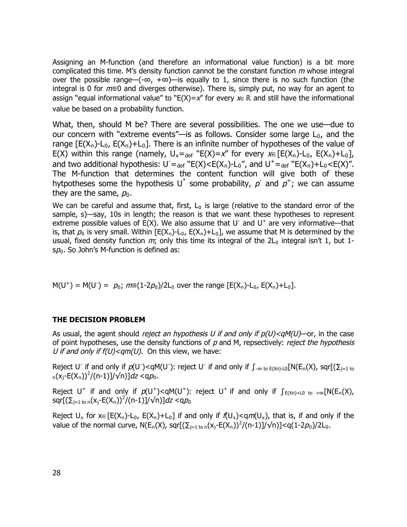Assigning an M-function (and therefore an informational value function) is a bit more complicated this time. M's density function cannot be the constant function  $m$  whose integral over the possible range—( $-\infty$ ,  $+\infty$ )—is equally to 1, since there is no such function (the integral is 0 for  $m \equiv 0$  and diverges otherwise). There is, simply put, no way for an agent to assign "equal informational value" to "E(X)=x" for every  $x \in \mathbb{R}$  and still have the informational value be based on a probability function.

What, then, should M be? There are several possibilities. The one we use—due to our concern with "extreme events"—is as follows. Consider some large  $L_0$ , and the range  $[E(X_n)-L_0, E(X_n)+L_0]$ . There is an infinite number of hypotheses of the value of E(X) within this range (namely,  $U_x =_{def} "E(X)=x"$  for every  $x \in [E(X_n)-L_0, E(X_n)+L_0],$ and two additional hypothesis:  $U =_{def} "E(X) < E(X_n) - L_0",$  and  $U^+ =_{def} "E(X_n) + L_0 < E(X)".$ The M-function that determines the content function will give both of these hytpotheses some the hypothesis U<sup>\*</sup> some probability,  $p^2$  and  $p^2$ ; we can assume they are the same,  $p_0$ .

We can be careful and assume that, first,  $L_0$  is large (relative to the standard error of the sample, s)—say, 10s in length; the reason is that we want these hypotheses to represent extreme possible values of  $E(X)$ . We also assume that U and U<sup>+</sup> are very informative—that is, that  $p_0$  is very small. Within [E(X<sub>n</sub>)-L<sub>0</sub>, E(X<sub>n</sub>)+L<sub>0</sub>], we assume that M is determined by the usual, fixed density function  $m$ ; only this time its integral of the  $2L_0$  integral isn't 1, but 1s $\rho_0$ . So John's M-function is defined as:

 $M(U^+) = M(U^-) = p_0$ ;  $m \equiv (1-2p_0)/2L_0$  over the range  $[E(X_n)-L_0, E(X_n)+L_0]$ .

#### **THE DECISION PROBLEM**

As usual, the agent should *reject an hypothesis U if and only if*  $p(U) < qM(U)$ —or, in the case of point hypotheses, use the density functions of  $p$  and M, repsectively: *reject the hypothesis* U if and only if  $f(U) < qm(U)$ . On this view, we have:

Reject UD if and only if  $p(U^-) < qM(U^-)$ : reject UD if and only if  $\int_{-\infty}^{+\infty}$  to  $E(Xn)-L0$  [N( $E_n(X)$ , sqr [( $\Sigma_{j=1}$  to  $\int_{R_n} (x_j - E(X_n))^2 / (n-1) \, J/\sqrt{n}) \, dz \, \langle \alpha \rho_0 \rangle$ 

Reject U<sup>+</sup> if and only if  $p(U^+) < qM(U^+)$ : reject U<sup>+</sup> if and only if  $\int_{E(Xn)+L0}$  to +∞[N(E<sub>n</sub>(X), sqr[( $\sum_{j=1 \text{ to } n}$ (x $_j$ -E(X $_n$ )) $^2$ /(n-1)]/ $\sqrt{n}$ )]*dz* <q $\rho_0$ 

Reject  $U_x$  for  $x \in [E(X_n)-L_0, E(X_n)+L_0]$  if and only if  $f(U_x) < qm(U_x)$ , that is, if and only if the value of the normal curve,  $N(E_n(X)$ , sqr $[(\sum_{j=1 \text{ to } n}(x_j-E(X_n))^2/(n-1)]/\sqrt{n})] < q(1-2p_0)/2L_0$ .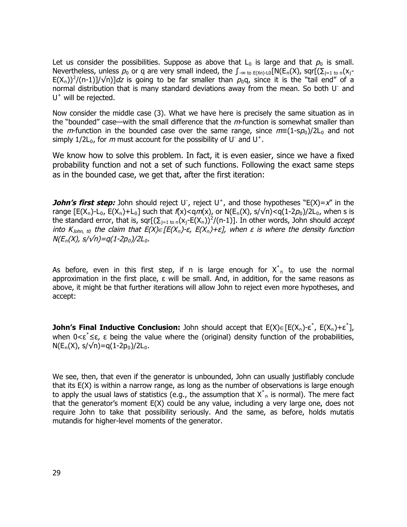Let us consider the possibilities. Suppose as above that  $L_0$  is large and that  $p_0$  is small. Nevertheless, unless  $p_0$  or q are very small indeed, the  $\int_{-\infty}$  to  $E(Xn)$ -LO $[N(E_n(X))$ , sqr $[(\sum_{j=1}$  to n $(X_j - E(X))$ E(X<sub>n</sub>))<sup>2</sup>/(n-1)]/ $\sqrt{n}$ ]dz is going to be far smaller than  $p_0q$ , since it is the "tail end" of a normal distribution that is many standard deviations away from the mean. So both UD and  $U^+$  will be rejected.

Now consider the middle case (3). What we have here is precisely the same situation as in the "bounded" case—with the small difference that the  $m$ -function is somewhat smaller than the m-function in the bounded case over the same range, since  $m \equiv (1 \text{-} sp_0)/2L_0$  and not simply 1/2L<sub>0</sub>, for m must account for the possibility of UD and U<sup>+</sup>.

We know how to solve this problem. In fact, it is even easier, since we have a fixed probability function and not a set of such functions. Following the exact same steps as in the bounded case, we get that, after the first iteration:

**John's first step:** John should reject U<sup>-</sup>, reject U<sup>+</sup>, and those hypotheses "E(X)=x" in the range  $[E(X_n)-L_0, E(X_n)+L_0]$  such that  $f(x) < qm(x)$ , or  $N(E_n(X), s/\sqrt{n}) < q(1-2p_0)/2L_0$ , when s is the standard error, that is, sqr[ $(\Sigma_{j=1 \text{ to } n}(x_j-E(X_n))^2/(n-1)]$ . In other words, John should *accept* into K $_{\mathrm{John,~t0}}$  the claim that E(X)∈[E(X<sub>n</sub>)-ε, E(X<sub>n</sub>)+ε], when ε is where the density function  $\mathsf{N}(E_n(\mathsf{X}),\,\mathsf{s}/\sqrt{n}){=}q(1{\text -}2p_o)/2L_o.$ 

As before, even in this first step, if n is large enough for  $X_{n}^{*}$  to use the normal approximation in the first place, ε will be small. And, in addition, for the same reasons as above, it might be that further iterations will allow John to reject even more hypotheses, and accept:

**John's Final Inductive Conclusion:** John should accept that  $E(X) \in [E(X_n)-\varepsilon^*, E(X_n)+\varepsilon^*],$ when  $0 < \epsilon^* \leq \epsilon$ ,  $\epsilon$  being the value where the (original) density function of the probabilities,  $N(E_n(X), s/\sqrt{n}) = q(1-2p_0)/2L_0.$ 

We see, then, that even if the generator is unbounded, John can usually justifiably conclude that its E(X) is within a narrow range, as long as the number of observations is large enough to apply the usual laws of statistics (e.g., the assumption that  $X^*_{\cdot,n}$  is normal). The mere fact that the generator's moment E(X) could be any value, including a very large one, does not require John to take that possibility seriously. And the same, as before, holds mutatis mutandis for higher-level moments of the generator.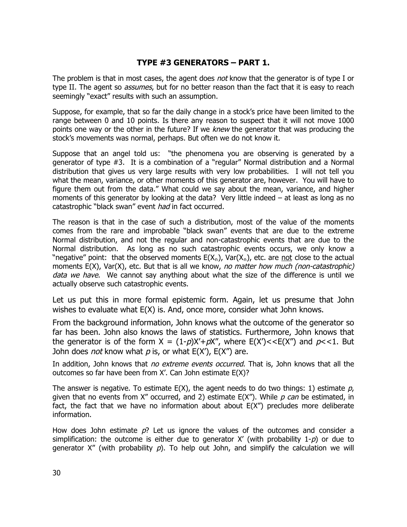# **TYPE #3 GENERATORS – PART 1.**

The problem is that in most cases, the agent does *not* know that the generator is of type I or type II. The agent so *assumes*, but for no better reason than the fact that it is easy to reach seemingly "exact" results with such an assumption.

Suppose, for example, that so far the daily change in a stock's price have been limited to the range between 0 and 10 points. Is there any reason to suspect that it will not move 1000 points one way or the other in the future? If we *knew* the generator that was producing the stock's movements was normal, perhaps. But often we do not know it.

Suppose that an angel told us: "the phenomena you are observing is generated by a generator of type #3. It is a combination of a "regular" Normal distribution and a Normal distribution that gives us very large results with very low probabilities. I will not tell you what the mean, variance, or other moments of this generator are, however. You will have to figure them out from the data." What could we say about the mean, variance, and higher moments of this generator by looking at the data? Very little indeed – at least as long as no catastrophic "black swan" event had in fact occurred.

The reason is that in the case of such a distribution, most of the value of the moments comes from the rare and improbable "black swan" events that are due to the extreme Normal distribution, and not the regular and non-catastrophic events that are due to the Normal distribution. As long as no such catastrophic events occurs, we only know a "negative" point: that the observed moments  $E(X_n)$ , Var $(X_n)$ , etc. are not close to the actual moments  $E(X)$ , Var $(X)$ , etc. But that is all we know, no matter how much (non-catastrophic) data we have. We cannot say anything about what the size of the difference is until we actually observe such catastrophic events.

Let us put this in more formal epistemic form. Again, let us presume that John wishes to evaluate what E(X) is. And, once more, consider what John knows.

From the background information, John knows what the outcome of the generator so far has been. John also knows the laws of statistics. Furthermore, John knows that the generator is of the form  $X = (1-p)X' + pX''$ , where  $E(X') < E(X'')$  and  $p < 1$ . But John does *not* know what  $p$  is, or what  $E(X')$ ,  $E(X'')$  are.

In addition, John knows that no extreme events occurred. That is, John knows that all the outcomes so far have been from X'. Can John estimate E(X)?

The answer is negative. To estimate  $E(X)$ , the agent needs to do two things: 1) estimate p, given that no events from X" occurred, and 2) estimate  $E(X'')$ . While p can be estimated, in fact, the fact that we have no information about about  $E(X'')$  precludes more deliberate information.

How does John estimate  $p$ ? Let us ignore the values of the outcomes and consider a simplification: the outcome is either due to generator X' (with probability  $1-p$ ) or due to generator X" (with probability  $p$ ). To help out John, and simplify the calculation we will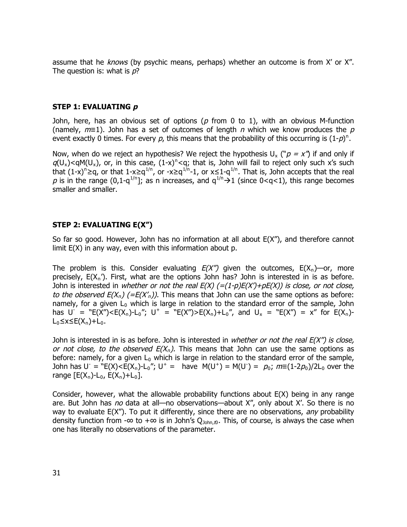assume that he knows (by psychic means, perhaps) whether an outcome is from X' or X". The question is: what is  $p$ ?

#### **STEP 1: EVALUATING p**

John, here, has an obvious set of options ( $p$  from 0 to 1), with an obvious M-function (namely,  $m\equiv 1$ ). John has a set of outcomes of length n which we know produces the p event exactly 0 times. For every p, this means that the probability of this occurring is  $(1-p)^n$ .

Now, when do we reject an hypothesis? We reject the hypothesis  $U_x ({}^{\circ}p = x^{\prime\prime}$  if and only if  $q(U_x)$ <qM(U<sub>x</sub>), or, in this case, (1-x)<sup>n</sup><q; that is, John will fail to reject only such x's such that  $(1-x)^n \ge q$ , or that  $1-x \ge q^{1/n}$ , or  $-x \ge q^{1/n}$ -1, or  $x \le 1-q^{1/n}$ . That is, John accepts that the real p is in the range (0,1-q<sup>1/n</sup>]; as n increases, and  $q^{1/n}$   $\rightarrow$  1 (since 0<q<1), this range becomes smaller and smaller.

#### **STEP 2: EVALUATING E(X")**

So far so good. However, John has no information at all about E(X"), and therefore cannot limit E(X) in any way, even with this information about p.

The problem is this. Consider evaluating  $E(X'')$  given the outcomes,  $E(X_n)$ —or, more precisely,  $E(X_n')$ . First, what are the options John has? John is interested in is as before. John is interested in whether or not the real  $E(X)$  (=(1-p) $E(X) + pE(X)$ ) is close, or not close, to the observed  $E(X_n)$  (=E( $X'_n$ )). This means that John can use the same options as before: namely, for a given  $L_0$  which is large in relation to the standard error of the sample, John has  $U = "E(X") < E(X_n) - L_0"$ ;  $U^+ = "E(X") > E(X_n) + L_0"$ , and  $U_x = "E(X") = x"$  for  $E(X_n)$ - $L_0$ ≤x≤E(X<sub>n</sub>)+L<sub>0</sub>.

John is interested in is as before. John is interested in whether or not the real  $E(X'')$  is close, or not close, to the observed  $E(X_n)$ . This means that John can use the same options as before: namely, for a given  $L_0$  which is large in relation to the standard error of the sample, John has  $U = "E(X) < E(X_n) - L_0", U^+ = \text{have } M(U^+) = M(U^-) = p_0; m \equiv (1-2p_0)/2L_0 \text{ over the }$ range  $[E(X_n)-L_0, E(X_n)+L_0].$ 

Consider, however, what the allowable probability functions about E(X) being in any range are. But John has no data at all—no observations—about X", only about X'. So there is no way to evaluate  $E(X'')$ . To put it differently, since there are no observations, any probability density function from -∞ to +∞ is in John's Q<sub>John,t0</sub>. This, of course, is always the case when one has literally no observations of the parameter.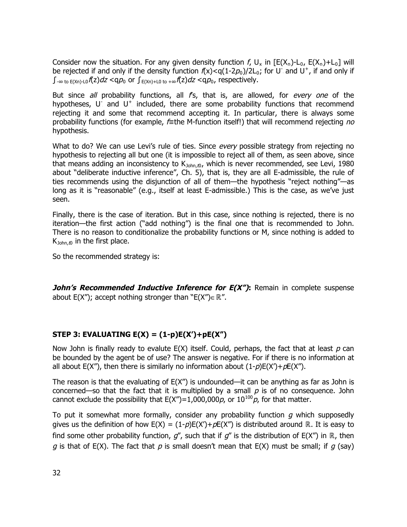Consider now the situation. For any given density function f,  $U_x$  in  $[E(X_n)-L_0, E(X_n)+L_0]$  will be rejected if and only if the density function  $f(x) < q(1-2p_0)/2L_0$ ; for UD and U<sup>+</sup>, if and only if  $\int_{-\infty}$  to  $E(Xn)$ -L0 $f(z)$ dz <q $p_0$  or  $\int_{E(Xn)+L0}$  to  $+\infty$  $f(z)$ dz <q $p_0$ , respectively.

But since all probability functions, all  $f_s$ , that is, are allowed, for every one of the hypotheses, U and U<sup>+</sup> included, there are some probability functions that recommend rejecting it and some that recommend accepting it. In particular, there is always some probability functions (for example, f≡the M-function itself!) that will recommend rejecting *no* hypothesis.

What to do? We can use Levi's rule of ties. Since every possible strategy from rejecting no hypothesis to rejecting all but one (it is impossible to reject all of them, as seen above, since that means adding an inconsistency to  $K_{John, t0}$ , which is never recommended, see Levi, 1980 about "deliberate inductive inference", Ch. 5), that is, they are all E-admissible, the rule of ties recommends using the disjunction of all of them—the hypothesis "reject nothing"—as long as it is "reasonable" (e.g., itself at least E-admissible.) This is the case, as we've just seen.

Finally, there is the case of iteration. But in this case, since nothing is rejected, there is no iteration—the first action ("add nothing") is the final one that is recommended to John. There is no reason to conditionalize the probability functions or M, since nothing is added to  $K_{John, to}$  in the first place.

So the recommended strategy is:

**John's Recommended Inductive Inference for E(X"):** Remain in complete suspense about E(X"); accept nothing stronger than "E(X")∈ ℝ".

## **STEP 3: EVALUATING E(X) = (1-p)E(X')+pE(X")**

Now John is finally ready to evalute  $E(X)$  itself. Could, perhaps, the fact that at least  $p$  can be bounded by the agent be of use? The answer is negative. For if there is no information at all about  $E(X'')$ , then there is similarly no information about  $(1-p)E(X')+pE(X'')$ .

The reason is that the evaluating of  $E(X'')$  is undounded—it can be anything as far as John is concerned—so that the fact that it is multiplied by a small  $p$  is of no consequence. John cannot exclude the possibility that E(X")=1,000,000p, or 10<sup>100</sup>p, for that matter.

To put it somewhat more formally, consider any probability function  $g$  which supposedly gives us the definition of how  $E(X) = (1-p)E(X') + pE(X'')$  is distributed around ℝ. It is easy to find some other probability function, g'', such that if g'' is the distribution of E(X'') in ℝ, then g is that of  $E(X)$ . The fact that p is small doesn't mean that  $E(X)$  must be small; if g (say)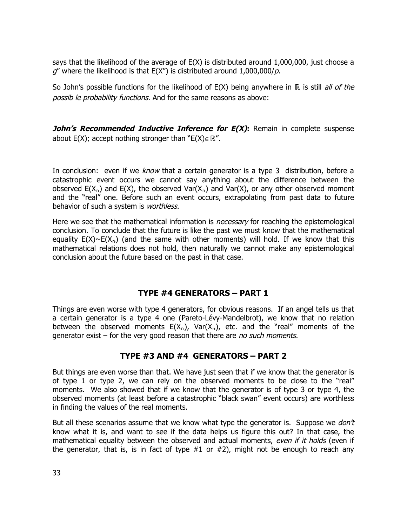says that the likelihood of the average of E(X) is distributed around 1,000,000, just choose a  $g''$  where the likelihood is that  $E(X'')$  is distributed around 1,000,000/p.

So John's possible functions for the likelihood of  $E(X)$  being anywhere in ℝ is still all of the possib le probability functions. And for the same reasons as above:

*John's Recommended Inductive Inference for E(X)***: Remain in complete suspense** about  $E(X)$ ; accept nothing stronger than " $E(X) \in \mathbb{R}$ ".

In conclusion: even if we *know* that a certain generator is a type 3 distribution, before a catastrophic event occurs we cannot say anything about the difference between the observed E(X<sub>n</sub>) and E(X), the observed Var(X<sub>n</sub>) and Var(X), or any other observed moment and the "real" one. Before such an event occurs, extrapolating from past data to future behavior of such a system is worthless.

Here we see that the mathematical information is *necessary* for reaching the epistemological conclusion. To conclude that the future is like the past we must know that the mathematical equality  $E(X) \sim E(X_n)$  (and the same with other moments) will hold. If we know that this mathematical relations does not hold, then naturally we cannot make any epistemological conclusion about the future based on the past in that case.

## **TYPE #4 GENERATORS – PART 1**

Things are even worse with type 4 generators, for obvious reasons. If an angel tells us that a certain generator is a type 4 one (Pareto-Lévy-Mandelbrot), we know that no relation between the observed moments  $E(X_n)$ , Var $(X_n)$ , etc. and the "real" moments of the generator exist – for the very good reason that there are no such moments.

## **TYPE #3 AND #4 GENERATORS – PART 2**

But things are even worse than that. We have just seen that if we know that the generator is of type 1 or type 2, we can rely on the observed moments to be close to the "real" moments. We also showed that if we know that the generator is of type 3 or type 4, the observed moments (at least before a catastrophic "black swan" event occurs) are worthless in finding the values of the real moments.

But all these scenarios assume that we know what type the generator is. Suppose we  $don't$ know what it is, and want to see if the data helps us figure this out? In that case, the mathematical equality between the observed and actual moments, even if it holds (even if the generator, that is, is in fact of type  $#1$  or  $#2$ ), might not be enough to reach any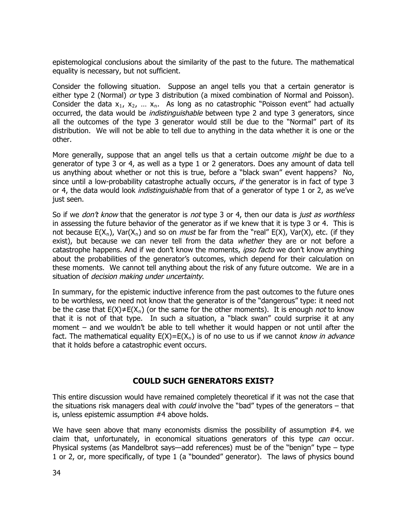epistemological conclusions about the similarity of the past to the future. The mathematical equality is necessary, but not sufficient.

Consider the following situation. Suppose an angel tells you that a certain generator is either type 2 (Normal) or type 3 distribution (a mixed combination of Normal and Poisson). Consider the data  $x_1$ ,  $x_2$ , ...  $x_n$ . As long as no catastrophic "Poisson event" had actually occurred, the data would be *indistinguishable* between type 2 and type 3 generators, since all the outcomes of the type 3 generator would still be due to the "Normal" part of its distribution. We will not be able to tell due to anything in the data whether it is one or the other.

More generally, suppose that an angel tells us that a certain outcome *might* be due to a generator of type 3 or 4, as well as a type 1 or 2 generators. Does any amount of data tell us anything about whether or not this is true, before a "black swan" event happens? No, since until a low-probability catastrophe actually occurs, *if* the generator is in fact of type 3 or 4, the data would look *indistinguishable* from that of a generator of type 1 or 2, as we've just seen.

So if we *don't know* that the generator is *not* type 3 or 4, then our data is *just as worthless* in assessing the future behavior of the generator as if we knew that it is type 3 or 4. This is not because  $E(X_n)$ , Var $(X_n)$  and so on *must* be far from the "real"  $E(X)$ , Var $(X)$ , etc. (if they exist), but because we can never tell from the data whether they are or not before a catastrophe happens. And if we don't know the moments, *ipso facto* we don't know anything about the probabilities of the generator's outcomes, which depend for their calculation on these moments. We cannot tell anything about the risk of any future outcome. We are in a situation of *decision making under uncertainty*.

In summary, for the epistemic inductive inference from the past outcomes to the future ones to be worthless, we need not know that the generator is of the "dangerous" type: it need not be the case that  $E(X) \neq E(X_n)$  (or the same for the other moments). It is enough *not* to know that it is not of that type. In such a situation, a "black swan" could surprise it at any moment – and we wouldn't be able to tell whether it would happen or not until after the fact. The mathematical equality  $E(X)=E(X_n)$  is of no use to us if we cannot know in advance that it holds before a catastrophic event occurs.

## **COULD SUCH GENERATORS EXIST?**

This entire discussion would have remained completely theoretical if it was not the case that the situations risk managers deal with *could* involve the "bad" types of the generators  $-$  that is, unless epistemic assumption #4 above holds.

We have seen above that many economists dismiss the possibility of assumption #4. we claim that, unfortunately, in economical situations generators of this type can occur. Physical systems (as Mandelbrot says—add references) must be of the "benign" type – type 1 or 2, or, more specifically, of type 1 (a "bounded" generator). The laws of physics bound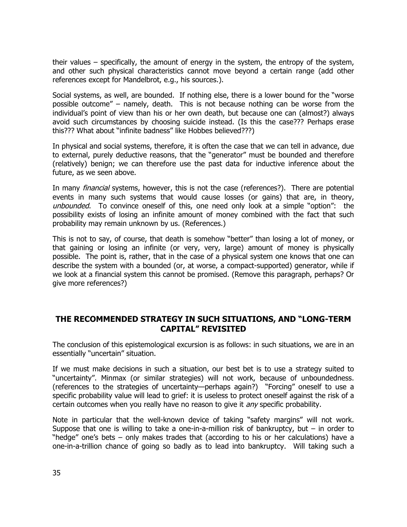their values – specifically, the amount of energy in the system, the entropy of the system, and other such physical characteristics cannot move beyond a certain range (add other references except for Mandelbrot, e.g., his sources.).

Social systems, as well, are bounded. If nothing else, there is a lower bound for the "worse possible outcome" – namely, death. This is not because nothing can be worse from the individual's point of view than his or her own death, but because one can (almost?) always avoid such circumstances by choosing suicide instead. (Is this the case??? Perhaps erase this??? What about "infinite badness" like Hobbes believed???)

In physical and social systems, therefore, it is often the case that we can tell in advance, due to external, purely deductive reasons, that the "generator" must be bounded and therefore (relatively) benign; we can therefore use the past data for inductive inference about the future, as we seen above.

In many *financial* systems, however, this is not the case (references?). There are potential events in many such systems that would cause losses (or gains) that are, in theory, unbounded. To convince oneself of this, one need only look at a simple "option": the possibility exists of losing an infinite amount of money combined with the fact that such probability may remain unknown by us. (References.)

This is not to say, of course, that death is somehow "better" than losing a lot of money, or that gaining or losing an infinite (or very, very, large) amount of money is physically possible. The point is, rather, that in the case of a physical system one knows that one can describe the system with a bounded (or, at worse, a compact-supported) generator, while if we look at a financial system this cannot be promised. (Remove this paragraph, perhaps? Or give more references?)

# **THE RECOMMENDED STRATEGY IN SUCH SITUATIONS, AND "LONG-TERM CAPITAL" REVISITED**

The conclusion of this epistemological excursion is as follows: in such situations, we are in an essentially "uncertain" situation.

If we must make decisions in such a situation, our best bet is to use a strategy suited to "uncertainty". Minmax (or similar strategies) will not work, because of unboundedness. (references to the strategies of uncertainty—perhaps again?) "Forcing" oneself to use a specific probability value will lead to grief: it is useless to protect oneself against the risk of a certain outcomes when you really have no reason to give it *any* specific probability.

Note in particular that the well-known device of taking "safety margins" will not work. Suppose that one is willing to take a one-in-a-million risk of bankruptcy, but – in order to "hedge" one's bets – only makes trades that (according to his or her calculations) have a one-in-a-trillion chance of going so badly as to lead into bankruptcy. Will taking such a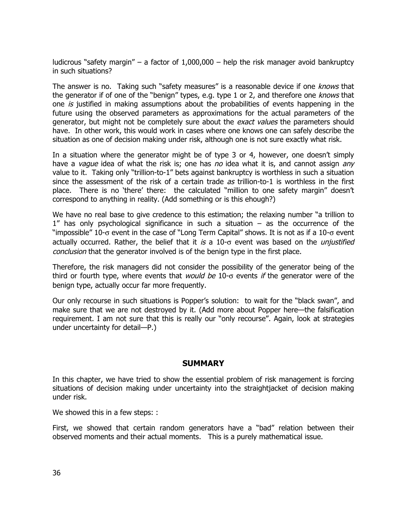ludicrous "safety margin" – a factor of  $1,000,000$  – help the risk manager avoid bankruptcy in such situations?

The answer is no. Taking such "safety measures" is a reasonable device if one knows that the generator if of one of the "benign" types, e.g. type 1 or 2, and therefore one knows that one is justified in making assumptions about the probabilities of events happening in the future using the observed parameters as approximations for the actual parameters of the generator, but might not be completely sure about the *exact values* the parameters should have. In other work, this would work in cases where one knows one can safely describe the situation as one of decision making under risk, although one is not sure exactly what risk.

In a situation where the generator might be of type 3 or 4, however, one doesn't simply have a vague idea of what the risk is; one has no idea what it is, and cannot assign any value to it. Taking only "trillion-to-1" bets against bankruptcy is worthless in such a situation since the assessment of the risk of a certain trade  $as$  trillion-to-1 is worthless in the first place. There is no 'there' there: the calculated "million to one safety margin" doesn't correspond to anything in reality. (Add something or is this ehough?)

We have no real base to give credence to this estimation; the relaxing number "a trillion to 1" has only psychological significance in such a situation – as the occurrence of the "impossible" 10- $\sigma$  event in the case of "Long Term Capital" shows. It is not as if a 10- $\sigma$  event actually occurred. Rather, the belief that it is a  $10$ - $\sigma$  event was based on the *unjustified* conclusion that the generator involved is of the benign type in the first place.

Therefore, the risk managers did not consider the possibility of the generator being of the third or fourth type, where events that *would be* 10- $\sigma$  events *if* the generator were of the benign type, actually occur far more frequently.

Our only recourse in such situations is Popper's solution: to wait for the "black swan", and make sure that we are not destroyed by it. (Add more about Popper here—the falsification requirement. I am not sure that this is really our "only recourse". Again, look at strategies under uncertainty for detail—P.)

## **SUMMARY**

In this chapter, we have tried to show the essential problem of risk management is forcing situations of decision making under uncertainty into the straightjacket of decision making under risk.

We showed this in a few steps: :

First, we showed that certain random generators have a "bad" relation between their observed moments and their actual moments. This is a purely mathematical issue.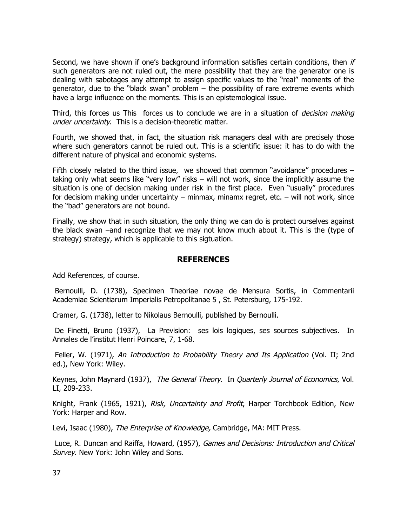Second, we have shown if one's background information satisfies certain conditions, then if such generators are not ruled out, the mere possibility that they are the generator one is dealing with sabotages any attempt to assign specific values to the "real" moments of the generator, due to the "black swan" problem  $-$  the possibility of rare extreme events which have a large influence on the moments. This is an epistemological issue.

Third, this forces us This forces us to conclude we are in a situation of *decision making* under uncertainty. This is a decision-theoretic matter.

Fourth, we showed that, in fact, the situation risk managers deal with are precisely those where such generators cannot be ruled out. This is a scientific issue: it has to do with the different nature of physical and economic systems.

Fifth closely related to the third issue, we showed that common "avoidance" procedures – taking only what seems like "very low" risks – will not work, since the implicitly assume the situation is one of decision making under risk in the first place. Even "usually" procedures for decisiom making under uncertainty – minmax, minamx regret, etc. – will not work, since the "bad" generators are not bound.

Finally, we show that in such situation, the only thing we can do is protect ourselves against the black swan –and recognize that we may not know much about it. This is the (type of strategy) strategy, which is applicable to this sigtuation.

### **REFERENCES**

Add References, of course.

Bernoulli, D. (1738), Specimen Theoriae novae de Mensura Sortis, in Commentarii Academiae Scientiarum Imperialis Petropolitanae 5 , St. Petersburg, 175-192.

Cramer, G. (1738), letter to Nikolaus Bernoulli, published by Bernoulli.

De Finetti, Bruno (1937), La Prevision: ses lois logiques, ses sources subjectives. In Annales de l'institut Henri Poincare, 7, 1-68.

Feller, W. (1971), An Introduction to Probability Theory and Its Application (Vol. II; 2nd ed.), New York: Wiley.

Keynes, John Maynard (1937), The General Theory. In Quarterly Journal of Economics, Vol. LI, 209-233.

Knight, Frank (1965, 1921), Risk, Uncertainty and Profit, Harper Torchbook Edition, New York: Harper and Row.

Levi, Isaac (1980), The Enterprise of Knowledge, Cambridge, MA: MIT Press.

Luce, R. Duncan and Raiffa, Howard, (1957), Games and Decisions: Introduction and Critical Survey. New York: John Wiley and Sons.